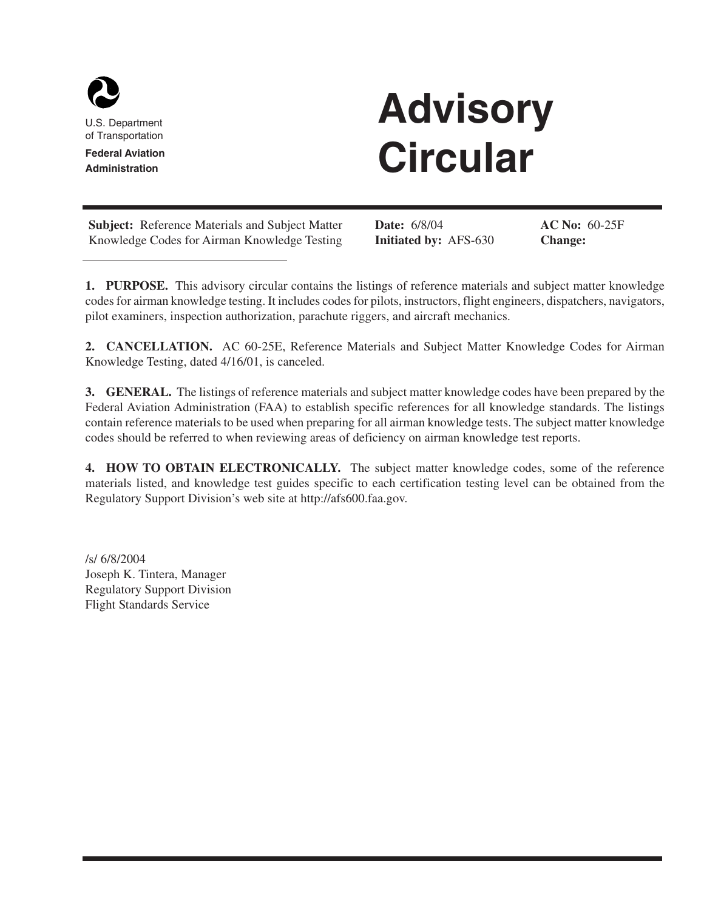

**Federal Aviation** 

# U.S. Department **Advisory** Federal Aviation<br>Administration **Circular**

**Subject:** Reference Materials and Subject Matter **Date:** 6/8/04 **AC No:** 60-25F Knowledge Codes for Airman Knowledge Testing **Initiated by:** AFS-630 **Change:** 

**1. PURPOSE.** This advisory circular contains the listings of reference materials and subject matter knowledge codes for airman knowledge testing. It includes codes for pilots, instructors, flight engineers, dispatchers, navigators, pilot examiners, inspection authorization, parachute riggers, and aircraft mechanics.

**2. CANCELLATION.** AC 60-25E, Reference Materials and Subject Matter Knowledge Codes for Airman Knowledge Testing, dated 4/16/01, is canceled.

**3. GENERAL.** The listings of reference materials and subject matter knowledge codes have been prepared by the Federal Aviation Administration (FAA) to establish specific references for all knowledge standards. The listings contain reference materials to be used when preparing for all airman knowledge tests. The subject matter knowledge codes should be referred to when reviewing areas of deficiency on airman knowledge test reports.

**4. HOW TO OBTAIN ELECTRONICALLY.** The subject matter knowledge codes, some of the reference materials listed, and knowledge test guides specific to each certification testing level can be obtained from the Regulatory Support Division's web site at http://afs600.faa.gov.

/s/ 6/8/2004 Joseph K. Tintera, Manager Regulatory Support Division Flight Standards Service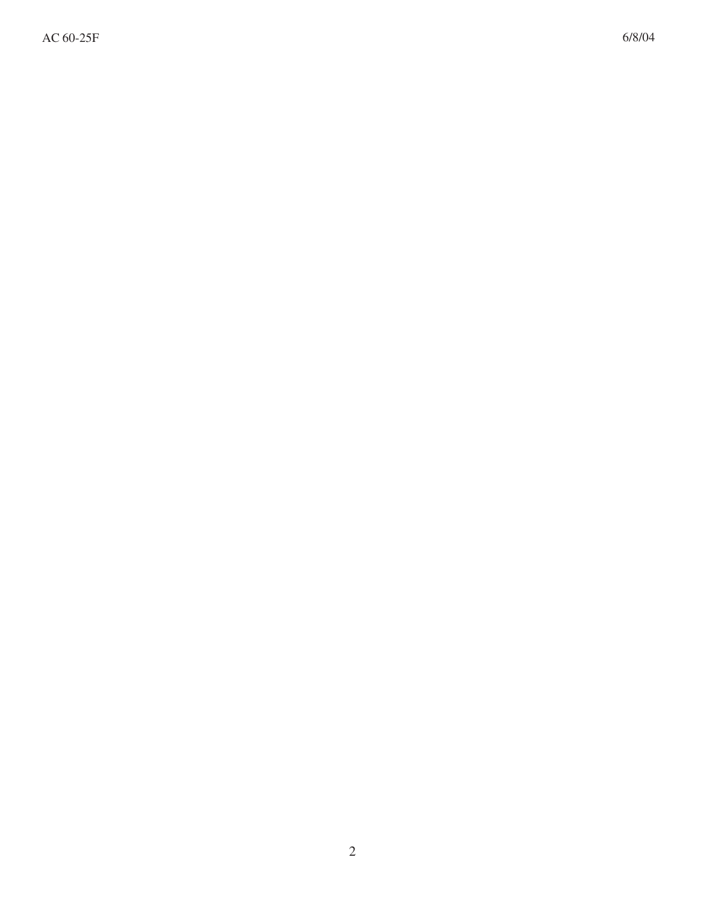AC 60-25F 6/8/04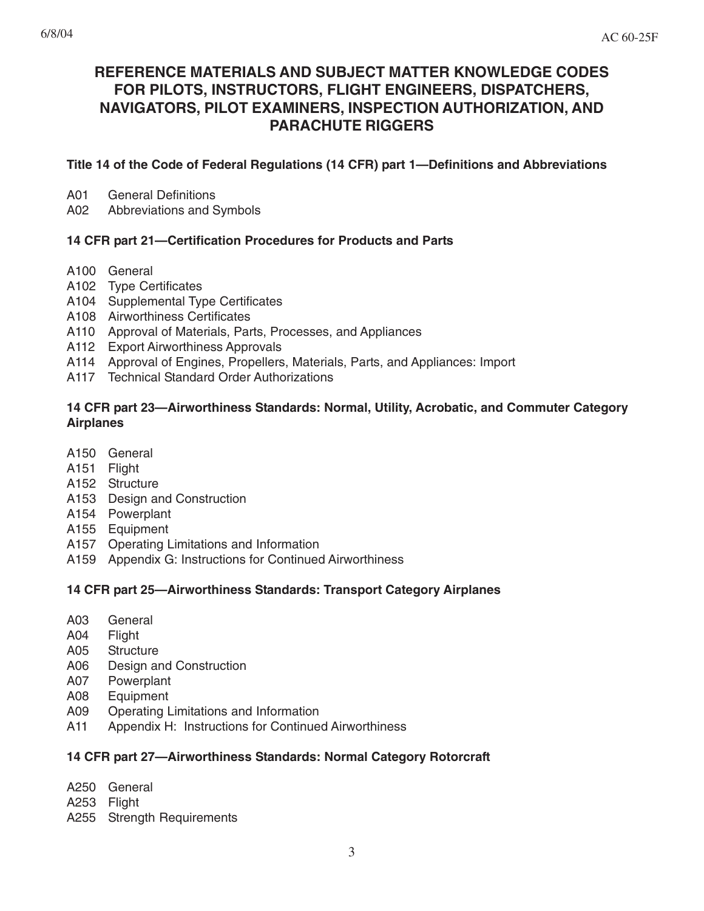## **REFERENCE MATERIALS AND SUBJECT MATTER KNOWLEDGE CODES FOR PILOTS, INSTRUCTORS, FLIGHT ENGINEERS, DISPATCHERS, NAVIGATORS, PILOT EXAMINERS, INSPECTION AUTHORIZATION, AND PARACHUTE RIGGERS**

## **Title 14 of the Code of Federal Regulations (14 CFR) part 1—Definitions and Abbreviations**

- A01 General Definitions
- A02 Abbreviations and Symbols

#### **14 CFR part 21—Certification Procedures for Products and Parts**

- A100 General
- A102 Type Certificates
- A104 Supplemental Type Certificates
- A108 Airworthiness Certificates
- A110 Approval of Materials, Parts, Processes, and Appliances
- A112 Export Airworthiness Approvals
- A114 Approval of Engines, Propellers, Materials, Parts, and Appliances: Import
- A117 Technical Standard Order Authorizations

#### **14 CFR part 23—Airworthiness Standards: Normal, Utility, Acrobatic, and Commuter Category Airplanes**

- A150 General
- A151 Flight
- A152 Structure
- A153 Design and Construction
- A154 Powerplant
- A155 Equipment
- A157 Operating Limitations and Information
- A159 Appendix G: Instructions for Continued Airworthiness

#### **14 CFR part 25—Airworthiness Standards: Transport Category Airplanes**

- A03 General
- A04 Flight
- A05 Structure
- A06 Design and Construction
- A07 Powerplant
- A08 Equipment
- A09 Operating Limitations and Information
- A11 Appendix H: Instructions for Continued Airworthiness

#### **14 CFR part 27—Airworthiness Standards: Normal Category Rotorcraft**

- A250 General
- A253 Flight
- A255 Strength Requirements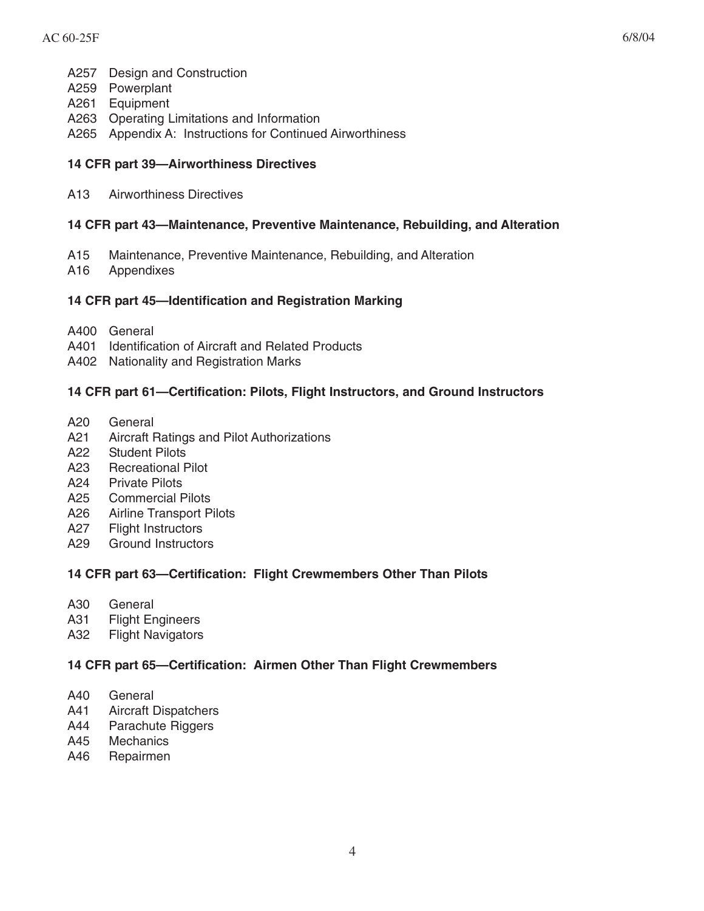- A257 Design and Construction
- A259 Powerplant
- A261 Equipment
- A263 Operating Limitations and Information
- A265 Appendix A: Instructions for Continued Airworthiness

## **14 CFR part 39—Airworthiness Directives**

A13 Airworthiness Directives

#### **14 CFR part 43—Maintenance, Preventive Maintenance, Rebuilding, and Alteration**

- A15 Maintenance, Preventive Maintenance, Rebuilding, and Alteration
- A16 Appendixes

#### **14 CFR part 45—Identification and Registration Marking**

- A400 General
- A401 Identification of Aircraft and Related Products
- A402 Nationality and Registration Marks

## **14 CFR part 61—Certification: Pilots, Flight Instructors, and Ground Instructors**

- A20 General
- A21 Aircraft Ratings and Pilot Authorizations
- A22 Student Pilots
- A23 Recreational Pilot
- A24 Private Pilots
- A25 Commercial Pilots
- A26 Airline Transport Pilots
- A<sub>27</sub> Flight Instructors
- A29 Ground Instructors

## **14 CFR part 63—Certification: Flight Crewmembers Other Than Pilots**

- A30 General
- A31 Flight Engineers
- A32 Flight Navigators

## **14 CFR part 65—Certification: Airmen Other Than Flight Crewmembers**

- A40 General
- A41 Aircraft Dispatchers
- A44 Parachute Riggers
- A45 Mechanics
- A46 Repairmen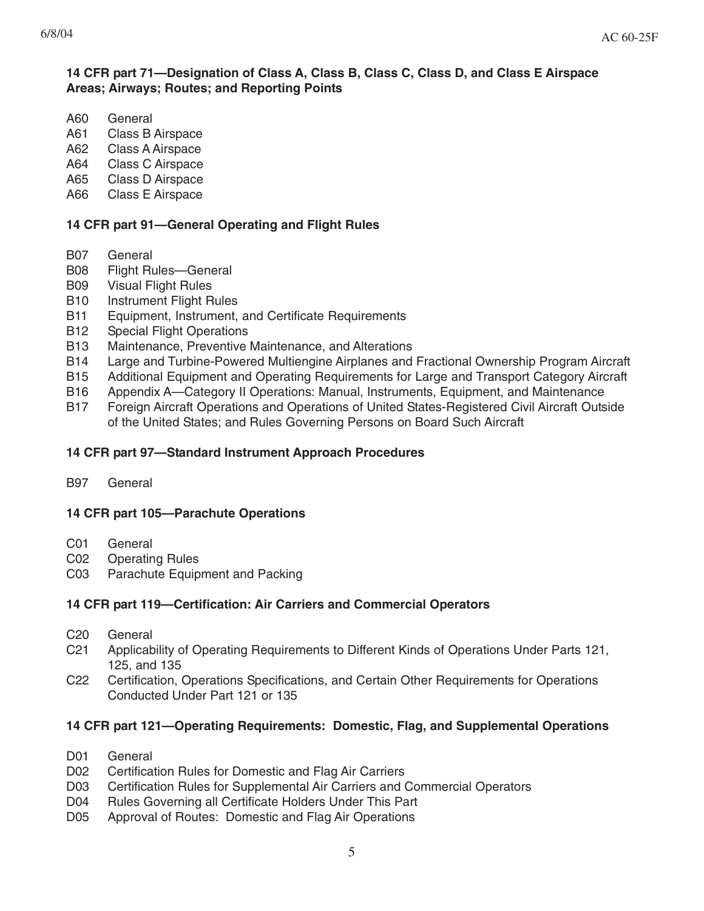## **14 CFR part 71—Designation of Class A, Class B, Class C, Class D, and Class E Airspace Areas; Airways; Routes; and Reporting Points**

A60 General

- A61 Class B Airspace
- A62 Class A Airspace
- A64 Class C Airspace
- A65 Class D Airspace
- A66 Class E Airspace

## **14 CFR part 91—General Operating and Flight Rules**

- B07 General
- B08 Flight Rules—General
- B09 Visual Flight Rules
- B10 Instrument Flight Rules
- B11 Equipment, Instrument, and Certificate Requirements
- B12 Special Flight Operations
- B13 Maintenance, Preventive Maintenance, and Alterations
- B14 Large and Turbine-Powered Multiengine Airplanes and Fractional Ownership Program Aircraft
- B15 Additional Equipment and Operating Requirements for Large and Transport Category Aircraft
- B16 Appendix A—Category II Operations: Manual, Instruments, Equipment, and Maintenance
- B17 Foreign Aircraft Operations and Operations of United States-Registered Civil Aircraft Outside of the United States; and Rules Governing Persons on Board Such Aircraft

## **14 CFR part 97—Standard Instrument Approach Procedures**

B97 General

## **14 CFR part 105—Parachute Operations**

- C01 General
- C02 Operating Rules
- C03 Parachute Equipment and Packing

## **14 CFR part 119—Certification: Air Carriers and Commercial Operators**

- C20 General
- C21 Applicability of Operating Requirements to Different Kinds of Operations Under Parts 121, 125, and 135
- C22 Certification, Operations Specifications, and Certain Other Requirements for Operations Conducted Under Part 121 or 135

## **14 CFR part 121—Operating Requirements: Domestic, Flag, and Supplemental Operations**

- D01 General
- D02 Certification Rules for Domestic and Flag Air Carriers
- D03 Certification Rules for Supplemental Air Carriers and Commercial Operators
- D04 Rules Governing all Certificate Holders Under This Part
- D05 Approval of Routes: Domestic and Flag Air Operations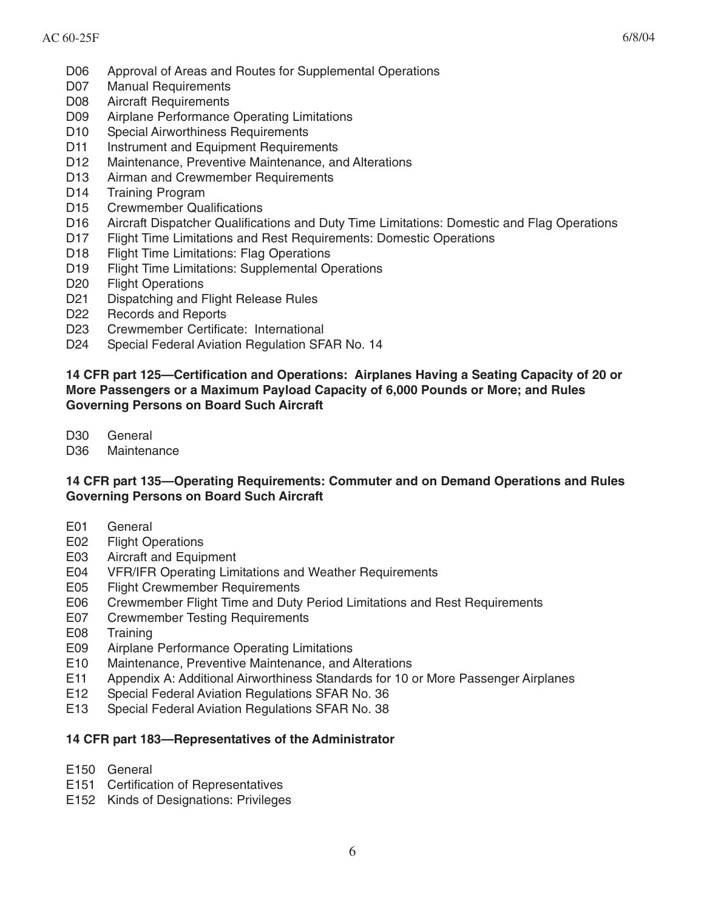- D06 Approval of Areas and Routes for Supplemental Operations
- D07 Manual Requirements
- D08 Aircraft Requirements
- D09 Airplane Performance Operating Limitations
- D10 Special Airworthiness Requirements
- D11 Instrument and Equipment Requirements
- D12 Maintenance, Preventive Maintenance, and Alterations
- D13 Airman and Crewmember Requirements
- D14 Training Program
- D15 Crewmember Qualifications
- D16 Aircraft Dispatcher Qualifications and Duty Time Limitations: Domestic and Flag Operations
- D17 Flight Time Limitations and Rest Requirements: Domestic Operations
- D18 Flight Time Limitations: Flag Operations
- D19 Flight Time Limitations: Supplemental Operations
- D20 Flight Operations
- D21 Dispatching and Flight Release Rules
- D22 Records and Reports
- D23 Crewmember Certificate: International
- D24 Special Federal Aviation Regulation SFAR No. 14

## **14 CFR part 125—Certification and Operations: Airplanes Having a Seating Capacity of 20 or More Passengers or a Maximum Payload Capacity of 6,000 Pounds or More; and Rules Governing Persons on Board Such Aircraft**

- D<sub>30</sub> General
- D36 Maintenance

## **14 CFR part 135—Operating Requirements: Commuter and on Demand Operations and Rules Governing Persons on Board Such Aircraft**

- E01 General
- E02 Flight Operations
- E03 Aircraft and Equipment
- E04 VFR/IFR Operating Limitations and Weather Requirements
- E05 Flight Crewmember Requirements
- E06 Crewmember Flight Time and Duty Period Limitations and Rest Requirements
- E07 Crewmember Testing Requirements
- E08 Training
- E09 Airplane Performance Operating Limitations
- E10 Maintenance, Preventive Maintenance, and Alterations
- E11 Appendix A: Additional Airworthiness Standards for 10 or More Passenger Airplanes
- E12 Special Federal Aviation Regulations SFAR No. 36
- E13 Special Federal Aviation Regulations SFAR No. 38

## **14 CFR part 183—Representatives of the Administrator**

- E150 General
- E151 Certification of Representatives
- E152 Kinds of Designations: Privileges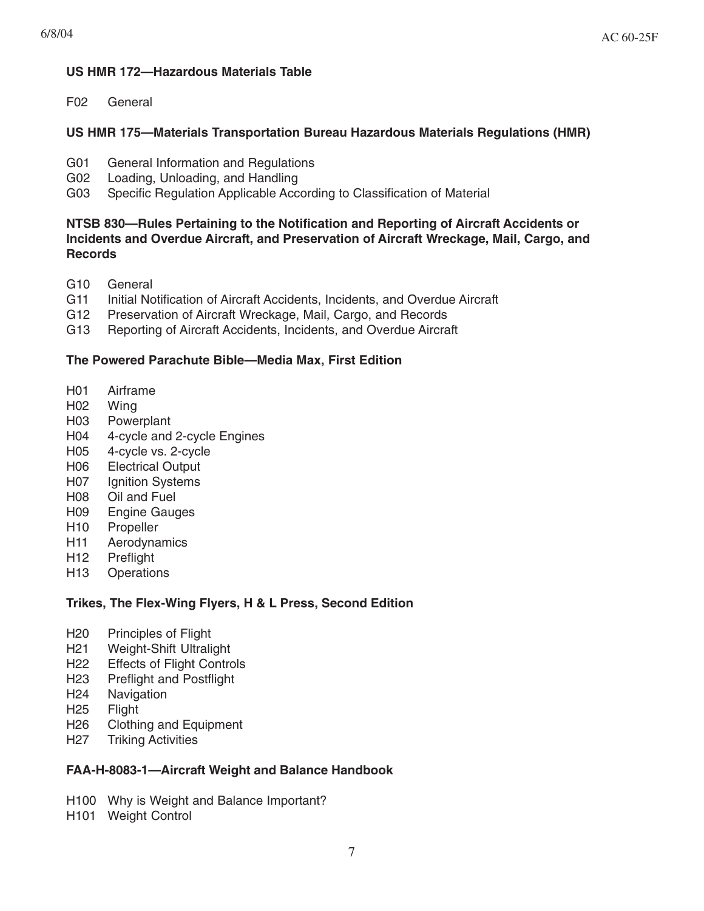## **US HMR 172—Hazardous Materials Table**

F02 General

## **US HMR 175—Materials Transportation Bureau Hazardous Materials Regulations (HMR)**

- G01 General Information and Regulations
- G02 Loading, Unloading, and Handling
- G03 Specific Regulation Applicable According to Classification of Material

## **NTSB 830—Rules Pertaining to the Notification and Reporting of Aircraft Accidents or Incidents and Overdue Aircraft, and Preservation of Aircraft Wreckage, Mail, Cargo, and Records**

- G10 General
- G11 Initial Notification of Aircraft Accidents, Incidents, and Overdue Aircraft
- G12 Preservation of Aircraft Wreckage, Mail, Cargo, and Records
- G13 Reporting of Aircraft Accidents, Incidents, and Overdue Aircraft

## **The Powered Parachute Bible—Media Max, First Edition**

- H01 Airframe
- H02 Wing
- H03 Powerplant
- H04 4-cycle and 2-cycle Engines
- H05 4-cycle vs. 2-cycle
- H06 Electrical Output
- H07 Ignition Systems
- H08 Oil and Fuel
- H09 Engine Gauges
- H10 Propeller
- H11 Aerodynamics
- H12 Preflight
- H13 Operations

#### **Trikes, The Flex-Wing Flyers, H & L Press, Second Edition**

- H20 Principles of Flight
- H21 Weight-Shift Ultralight
- H22 Effects of Flight Controls
- H23 Preflight and Postflight
- H24 Navigation
- H25 Flight
- H26 Clothing and Equipment
- H27 Triking Activities

## **FAA-H-8083-1—Aircraft Weight and Balance Handbook**

- H100 Why is Weight and Balance Important?
- H101 Weight Control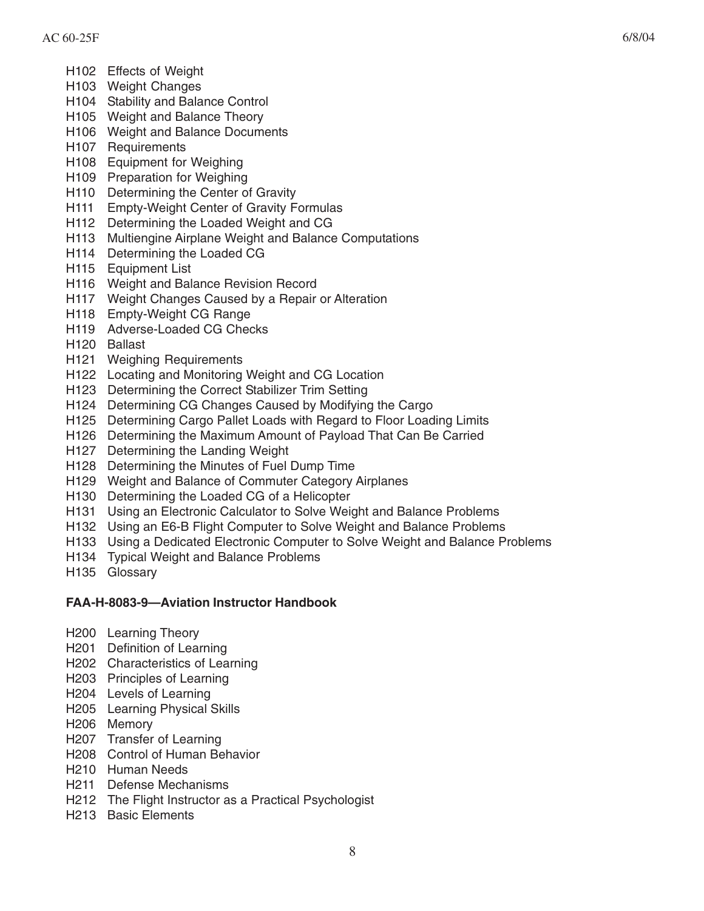- H102 Effects of Weight
- H103 Weight Changes
- H104 Stability and Balance Control
- H105 Weight and Balance Theory
- H106 Weight and Balance Documents
- H107 Requirements
- H108 Equipment for Weighing
- H109 Preparation for Weighing
- H110 Determining the Center of Gravity
- H111 Empty-Weight Center of Gravity Formulas
- H112 Determining the Loaded Weight and CG
- H113 Multiengine Airplane Weight and Balance Computations
- H114 Determining the Loaded CG
- H115 Equipment List
- H116 Weight and Balance Revision Record
- H117 Weight Changes Caused by a Repair or Alteration
- H118 Empty-Weight CG Range
- H119 Adverse-Loaded CG Checks
- H120 Ballast
- H121 Weighing Requirements
- H122 Locating and Monitoring Weight and CG Location
- H123 Determining the Correct Stabilizer Trim Setting
- H124 Determining CG Changes Caused by Modifying the Cargo
- H125 Determining Cargo Pallet Loads with Regard to Floor Loading Limits
- H126 Determining the Maximum Amount of Payload That Can Be Carried
- H127 Determining the Landing Weight
- H128 Determining the Minutes of Fuel Dump Time
- H129 Weight and Balance of Commuter Category Airplanes
- H130 Determining the Loaded CG of a Helicopter
- H131 Using an Electronic Calculator to Solve Weight and Balance Problems
- H132 Using an E6-B Flight Computer to Solve Weight and Balance Problems
- H133 Using a Dedicated Electronic Computer to Solve Weight and Balance Problems
- H134 Typical Weight and Balance Problems
- H135 Glossary

#### **FAA-H-8083-9—Aviation Instructor Handbook**

- H200 Learning Theory
- H201 Definition of Learning
- H202 Characteristics of Learning
- H203 Principles of Learning
- H204 Levels of Learning
- H205 Learning Physical Skills
- H206 Memory
- H207 Transfer of Learning
- H208 Control of Human Behavior
- H210 Human Needs
- H211 Defense Mechanisms
- H212 The Flight Instructor as a Practical Psychologist
- H213 Basic Elements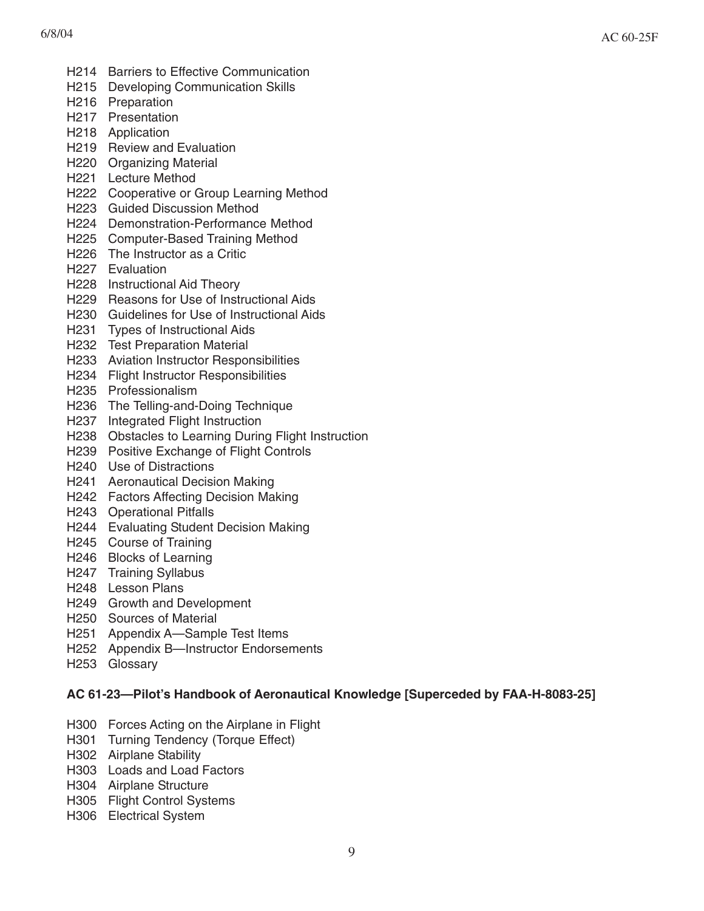- H214 Barriers to Effective Communication
- H215 Developing Communication Skills
- H216 Preparation
- H217 Presentation
- H218 Application
- H219 Review and Evaluation
- H220 Organizing Material
- H221 Lecture Method
- H222 Cooperative or Group Learning Method
- H223 Guided Discussion Method
- H224 Demonstration-Performance Method
- H225 Computer-Based Training Method
- H226 The Instructor as a Critic
- H227 Evaluation
- H228 Instructional Aid Theory
- H229 Reasons for Use of Instructional Aids
- H230 Guidelines for Use of Instructional Aids
- H231 Types of Instructional Aids
- H232 Test Preparation Material
- H233 Aviation Instructor Responsibilities
- H234 Flight Instructor Responsibilities
- H235 Professionalism
- H236 The Telling-and-Doing Technique
- H237 Integrated Flight Instruction
- H238 Obstacles to Learning During Flight Instruction
- H239 Positive Exchange of Flight Controls
- H240 Use of Distractions
- H241 Aeronautical Decision Making
- H242 Factors Affecting Decision Making
- H243 Operational Pitfalls
- H244 Evaluating Student Decision Making
- H245 Course of Training
- H246 Blocks of Learning
- H247 Training Syllabus
- H248 Lesson Plans
- H249 Growth and Development
- H250 Sources of Material
- H251 Appendix A—Sample Test Items
- H252 Appendix B—Instructor Endorsements
- H253 Glossary

#### **AC 61-23—Pilot's Handbook of Aeronautical Knowledge [Superceded by FAA-H-8083-25]**

- H300 Forces Acting on the Airplane in Flight
- H301 Turning Tendency (Torque Effect)
- H302 Airplane Stability
- H303 Loads and Load Factors
- H304 Airplane Structure
- H305 Flight Control Systems
- H306 Electrical System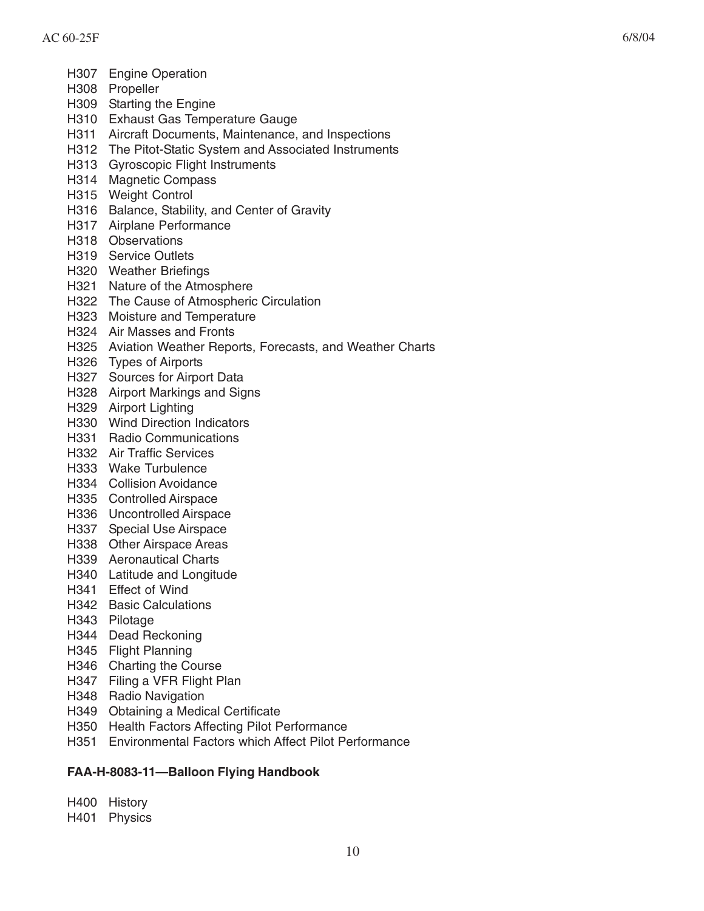- H307 Engine Operation
- H308 Propeller
- H309 Starting the Engine
- H310 Exhaust Gas Temperature Gauge
- H311 Aircraft Documents, Maintenance, and Inspections
- H312 The Pitot-Static System and Associated Instruments
- H313 Gyroscopic Flight Instruments
- H314 Magnetic Compass
- H315 Weight Control
- H316 Balance, Stability, and Center of Gravity
- H317 Airplane Performance
- H318 Observations
- H319 Service Outlets
- H320 Weather Briefings
- H321 Nature of the Atmosphere
- H322 The Cause of Atmospheric Circulation
- H323 Moisture and Temperature
- H324 Air Masses and Fronts
- H325 Aviation Weather Reports, Forecasts, and Weather Charts
- H326 Types of Airports
- H327 Sources for Airport Data
- H328 Airport Markings and Signs
- H329 Airport Lighting
- H330 Wind Direction Indicators
- H331 Radio Communications
- H332 Air Traffic Services
- H333 Wake Turbulence
- H334 Collision Avoidance
- H335 Controlled Airspace
- H336 Uncontrolled Airspace
- H337 Special Use Airspace
- H338 Other Airspace Areas
- H339 Aeronautical Charts
- H340 Latitude and Longitude
- H341 Effect of Wind
- H342 Basic Calculations
- H343 Pilotage
- H344 Dead Reckoning
- H345 Flight Planning
- H346 Charting the Course
- H347 Filing a VFR Flight Plan
- H348 Radio Navigation
- H349 Obtaining a Medical Certificate
- H350 Health Factors Affecting Pilot Performance
- H351 Environmental Factors which Affect Pilot Performance

## **FAA-H-8083-11—Balloon Flying Handbook**

H400 History

H401 Physics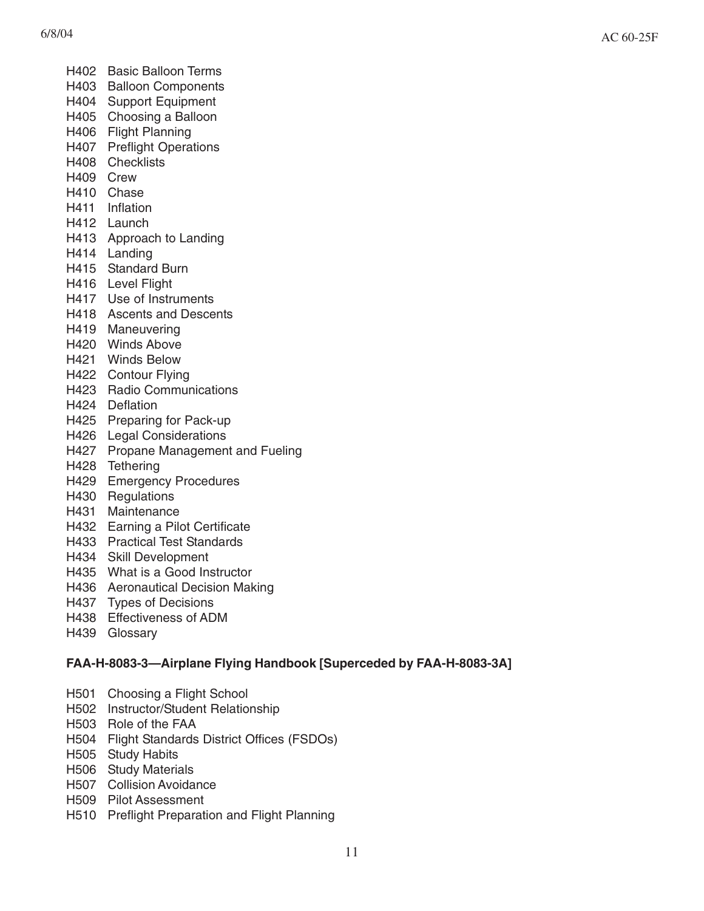H402 Basic Balloon Terms H403 Balloon Components H404 Support Equipment H405 Choosing a Balloon H406 Flight Planning H407 Preflight Operations H408 Checklists H409 Crew H410 Chase H411 Inflation H412 Launch H413 Approach to Landing H414 Landing H415 Standard Burn H416 Level Flight H417 Use of Instruments H418 Ascents and Descents H419 Maneuvering H420 Winds Above H421 Winds Below H422 Contour Flying H423 Radio Communications H424 Deflation H425 Preparing for Pack-up H426 Legal Considerations H427 Propane Management and Fueling H428 Tethering H429 Emergency Procedures H430 Regulations H431 Maintenance H432 Earning a Pilot Certificate H433 Practical Test Standards H434 Skill Development H435 What is a Good Instructor H436 Aeronautical Decision Making H437 Types of Decisions H438 Effectiveness of ADM H439 Glossary **FAA-H-8083-3—Airplane Flying Handbook [Superceded by FAA-H-8083-3A]** 

- H501 Choosing a Flight School
- H502 Instructor/Student Relationship
- H503 Role of the FAA
- H504 Flight Standards District Offices (FSDOs)
- H505 Study Habits
- H506 Study Materials
- H507 Collision Avoidance
- H509 Pilot Assessment
- H510 Preflight Preparation and Flight Planning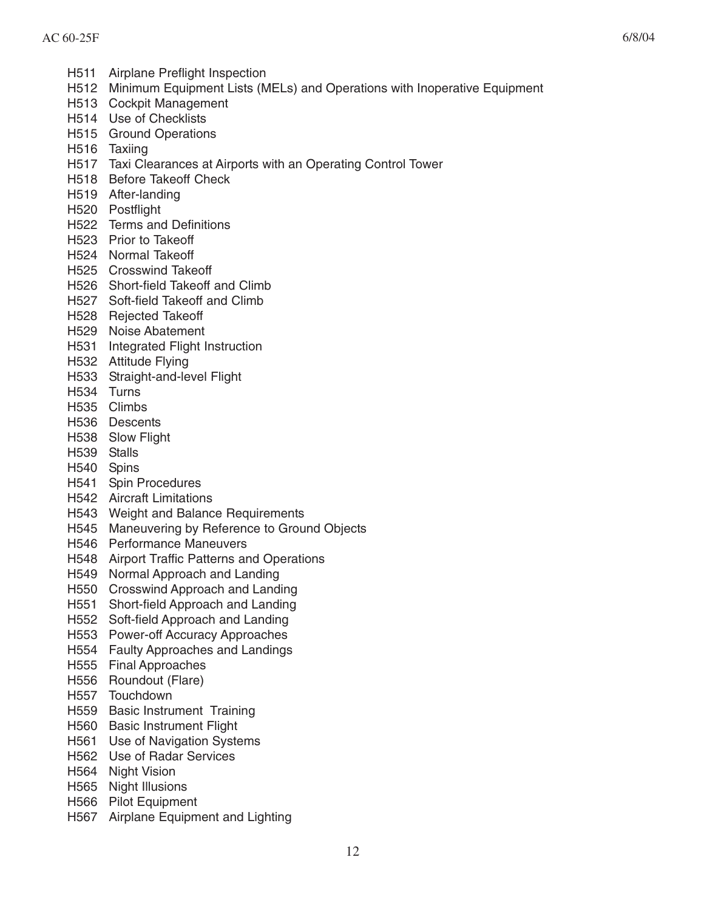- H511 Airplane Preflight Inspection
- H512 Minimum Equipment Lists (MELs) and Operations with Inoperative Equipment
- H513 Cockpit Management
- H514 Use of Checklists
- H515 Ground Operations
- H516 Taxiing
- H517 Taxi Clearances at Airports with an Operating Control Tower
- H518 Before Takeoff Check
- H519 After-landing
- H520 Postflight
- H522 Terms and Definitions
- H523 Prior to Takeoff
- H524 Normal Takeoff
- H525 Crosswind Takeoff
- H526 Short-field Takeoff and Climb
- H527 Soft-field Takeoff and Climb
- H528 Rejected Takeoff
- H529 Noise Abatement
- H531 Integrated Flight Instruction
- H532 Attitude Flying
- H533 Straight-and-level Flight
- H534 Turns
- H535 Climbs
- H536 Descents
- H538 Slow Flight
- H539 Stalls
- H540 Spins
- H541 Spin Procedures
- H542 Aircraft Limitations
- H543 Weight and Balance Requirements
- H545 Maneuvering by Reference to Ground Objects
- H546 Performance Maneuvers
- H548 Airport Traffic Patterns and Operations
- H549 Normal Approach and Landing
- H550 Crosswind Approach and Landing
- H551 Short-field Approach and Landing
- H552 Soft-field Approach and Landing
- H553 Power-off Accuracy Approaches
- H554 Faulty Approaches and Landings
- H555 Final Approaches
- H556 Roundout (Flare)
- H557 Touchdown
- H559 Basic Instrument Training
- H560 Basic Instrument Flight
- H561 Use of Navigation Systems
- H562 Use of Radar Services
- H564 Night Vision
- H565 Night Illusions
- H566 Pilot Equipment
- H567 Airplane Equipment and Lighting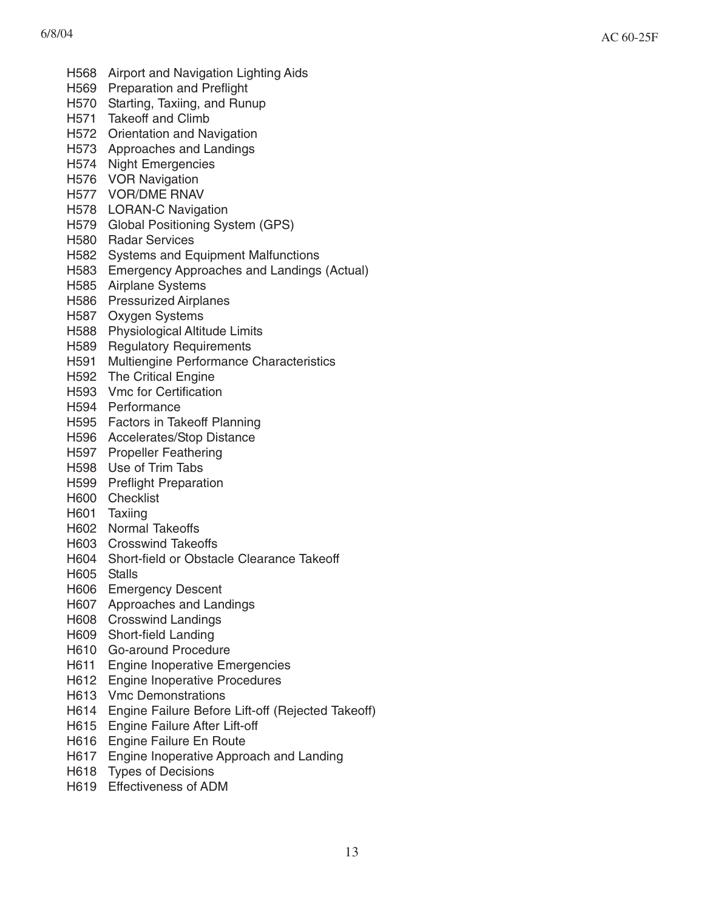- H568 Airport and Navigation Lighting Aids
- H569 Preparation and Preflight
- H570 Starting, Taxiing, and Runup
- H571 Takeoff and Climb
- H572 Orientation and Navigation
- H573 Approaches and Landings
- H574 Night Emergencies
- H576 VOR Navigation
- H577 VOR/DME RNAV
- H578 LORAN-C Navigation
- H579 Global Positioning System (GPS)
- H580 Radar Services
- H582 Systems and Equipment Malfunctions
- H583 Emergency Approaches and Landings (Actual)
- H585 Airplane Systems
- H586 Pressurized Airplanes
- H587 Oxygen Systems
- H588 Physiological Altitude Limits
- H589 Regulatory Requirements
- H591 Multiengine Performance Characteristics
- H592 The Critical Engine
- H593 Vmc for Certification
- H594 Performance
- H595 Factors in Takeoff Planning
- H596 Accelerates/Stop Distance
- H597 Propeller Feathering
- H598 Use of Trim Tabs
- H599 Preflight Preparation
- H600 Checklist
- H601 Taxiing
- H602 Normal Takeoffs
- H603 Crosswind Takeoffs
- H604 Short-field or Obstacle Clearance Takeoff
- H605 Stalls
- H606 Emergency Descent
- H607 Approaches and Landings
- H608 Crosswind Landings
- H609 Short-field Landing
- H610 Go-around Procedure
- H611 Engine Inoperative Emergencies
- H612 Engine Inoperative Procedures
- H613 Vmc Demonstrations
- H614 Engine Failure Before Lift-off (Rejected Takeoff)
- H615 Engine Failure After Lift-off
- H616 Engine Failure En Route
- H617 Engine Inoperative Approach and Landing
- H618 Types of Decisions
- H619 Effectiveness of ADM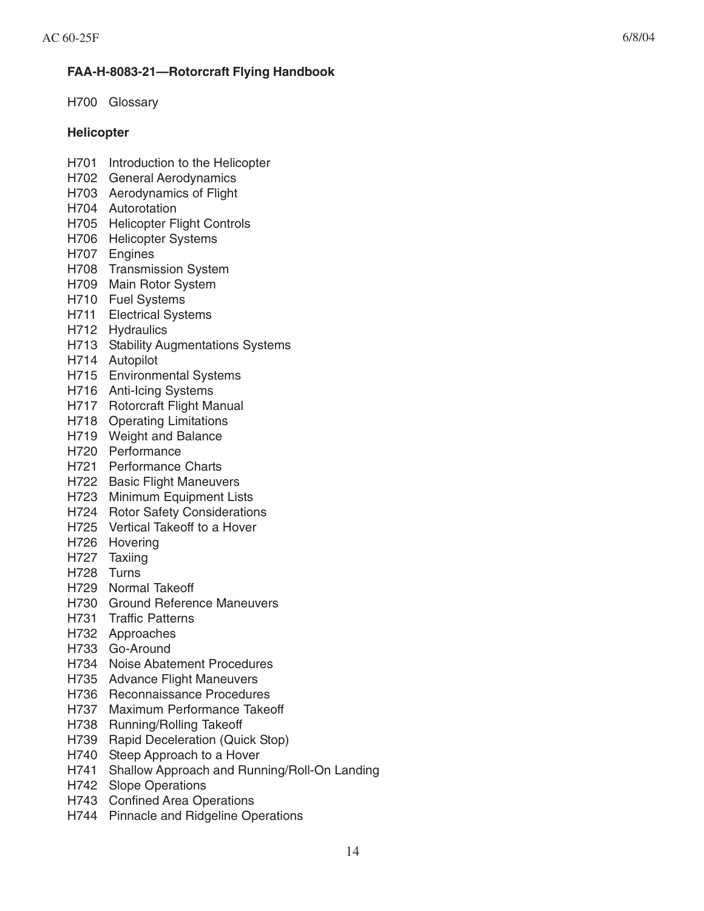## **FAA-H-8083-21—Rotorcraft Flying Handbook**

H700 Glossary

## **Helicopter**

- H701 Introduction to the Helicopter
- H702 General Aerodynamics
- H703 Aerodynamics of Flight
- H704 Autorotation
- H705 Helicopter Flight Controls
- H706 Helicopter Systems
- H707 Engines
- H708 Transmission System
- H709 Main Rotor System
- H710 Fuel Systems
- H711 Electrical Systems
- H712 Hydraulics
- H713 Stability Augmentations Systems
- H714 Autopilot
- H715 Environmental Systems
- H716 Anti-Icing Systems
- H717 Rotorcraft Flight Manual
- H718 Operating Limitations
- H719 Weight and Balance
- H720 Performance
- H721 Performance Charts
- H722 Basic Flight Maneuvers
- H723 Minimum Equipment Lists
- H724 Rotor Safety Considerations
- H725 Vertical Takeoff to a Hover
- H726 Hovering
- H727 Taxiing
- H728 Turns
- H729 Normal Takeoff
- H730 Ground Reference Maneuvers
- H731 Traffic Patterns
- H732 Approaches
- H733 Go-Around
- H734 Noise Abatement Procedures
- H735 Advance Flight Maneuvers
- H736 Reconnaissance Procedures
- H737 Maximum Performance Takeoff
- H738 Running/Rolling Takeoff
- H739 Rapid Deceleration (Quick Stop)
- H740 Steep Approach to a Hover
- H741 Shallow Approach and Running/Roll-On Landing
- H742 Slope Operations
- H743 Confined Area Operations
- H744 Pinnacle and Ridgeline Operations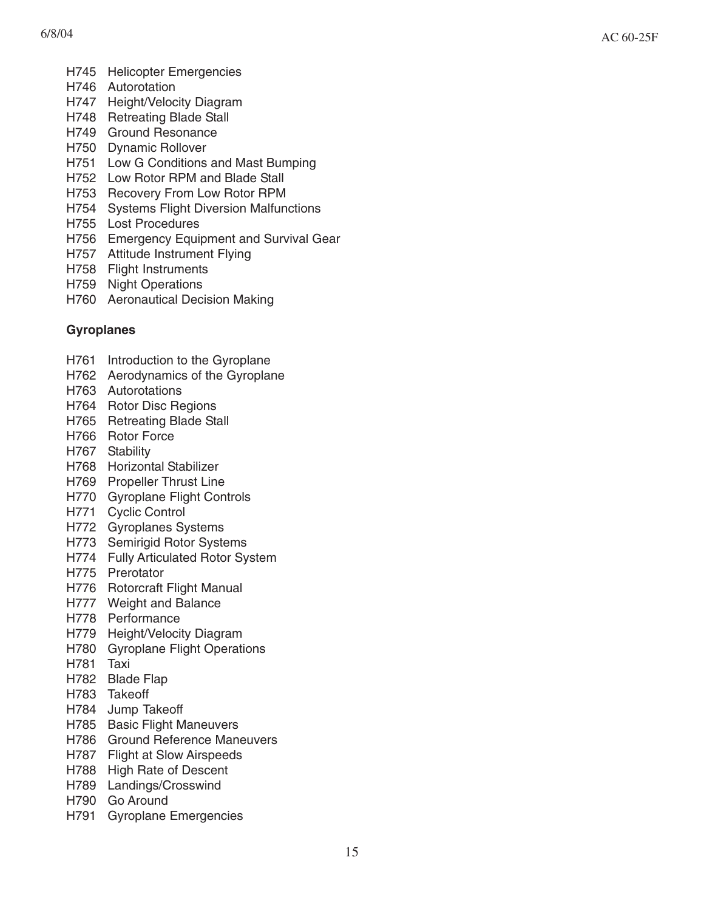- H745 Helicopter Emergencies
- H746 Autorotation
- H747 Height/Velocity Diagram
- H748 Retreating Blade Stall
- H749 Ground Resonance
- H750 Dynamic Rollover
- H751 Low G Conditions and Mast Bumping
- H752 Low Rotor RPM and Blade Stall
- H753 Recovery From Low Rotor RPM
- H754 Systems Flight Diversion Malfunctions
- H755 Lost Procedures
- H756 Emergency Equipment and Survival Gear
- H757 Attitude Instrument Flying
- H758 Flight Instruments
- H759 Night Operations
- H760 Aeronautical Decision Making

## **Gyroplanes**

- H761 Introduction to the Gyroplane
- H762 Aerodynamics of the Gyroplane
- H763 Autorotations
- H764 Rotor Disc Regions
- H765 Retreating Blade Stall
- H766 Rotor Force
- H767 Stability
- H768 Horizontal Stabilizer
- H769 Propeller Thrust Line
- H770 Gyroplane Flight Controls
- H771 Cyclic Control
- H772 Gyroplanes Systems
- H773 Semirigid Rotor Systems
- H774 Fully Articulated Rotor System
- H775 Prerotator
- H776 Rotorcraft Flight Manual
- H777 Weight and Balance
- H778 Performance
- H779 Height/Velocity Diagram
- H780 Gyroplane Flight Operations
- H781 Taxi
- H782 Blade Flap
- H783 Takeoff
- H784 Jump Takeoff
- H785 Basic Flight Maneuvers
- H786 Ground Reference Maneuvers
- H787 Flight at Slow Airspeeds
- H788 High Rate of Descent
- H789 Landings/Crosswind
- H790 Go Around
- H791 Gyroplane Emergencies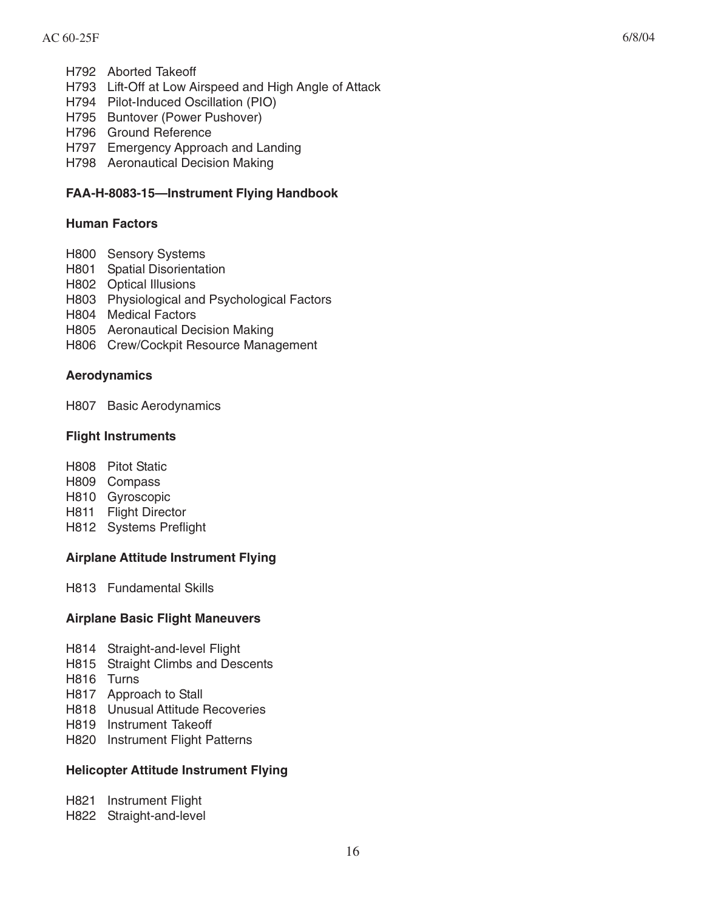- H792 Aborted Takeoff
- H793 Lift-Off at Low Airspeed and High Angle of Attack
- H794 Pilot-Induced Oscillation (PIO)
- H795 Buntover (Power Pushover)
- H796 Ground Reference
- H797 Emergency Approach and Landing
- H798 Aeronautical Decision Making

## **FAA-H-8083-15—Instrument Flying Handbook**

## **Human Factors**

- H800 Sensory Systems
- H801 Spatial Disorientation
- H802 Optical Illusions
- H803 Physiological and Psychological Factors
- H804 Medical Factors
- H805 Aeronautical Decision Making
- H806 Crew/Cockpit Resource Management

## **Aerodynamics**

H807 Basic Aerodynamics

## **Flight Instruments**

H808 Pitot Static H809 Compass H810 Gyroscopic

- H811 Flight Director
- H812 Systems Preflight

## **Airplane Attitude Instrument Flying**

H813 Fundamental Skills

## **Airplane Basic Flight Maneuvers**

- H814 Straight-and-level Flight
- H815 Straight Climbs and Descents
- H816 Turns
- H817 Approach to Stall
- H818 Unusual Attitude Recoveries
- H819 Instrument Takeoff
- H820 Instrument Flight Patterns

## **Helicopter Attitude Instrument Flying**

H821 Instrument Flight

H822 Straight-and-level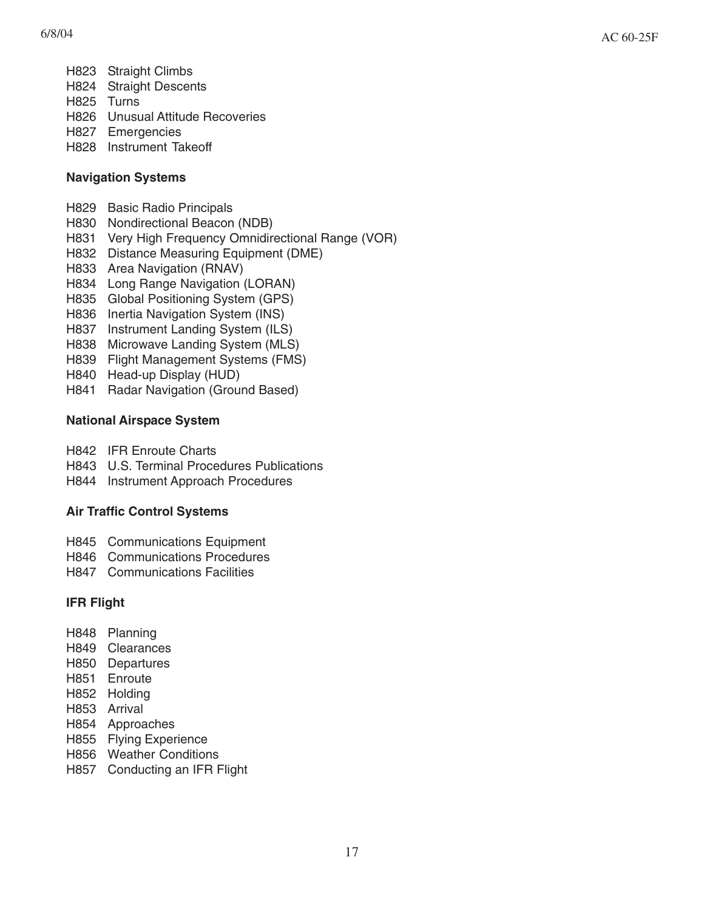- H823 Straight Climbs
- H824 Straight Descents
- H825 Turns
- H826 Unusual Attitude Recoveries
- H827 Emergencies
- H828 Instrument Takeoff

#### **Navigation Systems**

- H829 Basic Radio Principals
- H830 Nondirectional Beacon (NDB)
- H831 Very High Frequency Omnidirectional Range (VOR)
- H832 Distance Measuring Equipment (DME)
- H833 Area Navigation (RNAV)
- H834 Long Range Navigation (LORAN)
- H835 Global Positioning System (GPS)
- H836 Inertia Navigation System (INS)
- H837 Instrument Landing System (ILS)
- H838 Microwave Landing System (MLS)
- H839 Flight Management Systems (FMS)
- H840 Head-up Display (HUD)
- H841 Radar Navigation (Ground Based)

#### **National Airspace System**

- H842 IFR Enroute Charts
- H843 U.S. Terminal Procedures Publications
- H844 Instrument Approach Procedures

## **Air Traffic Control Systems**

- H845 Communications Equipment
- H846 Communications Procedures
- H847 Communications Facilities

## **IFR Flight**

- H848 Planning
- H849 Clearances
- H850 Departures
- H851 Enroute
- H852 Holding
- H853 Arrival
- H854 Approaches
- H855 Flying Experience
- H856 Weather Conditions
- H857 Conducting an IFR Flight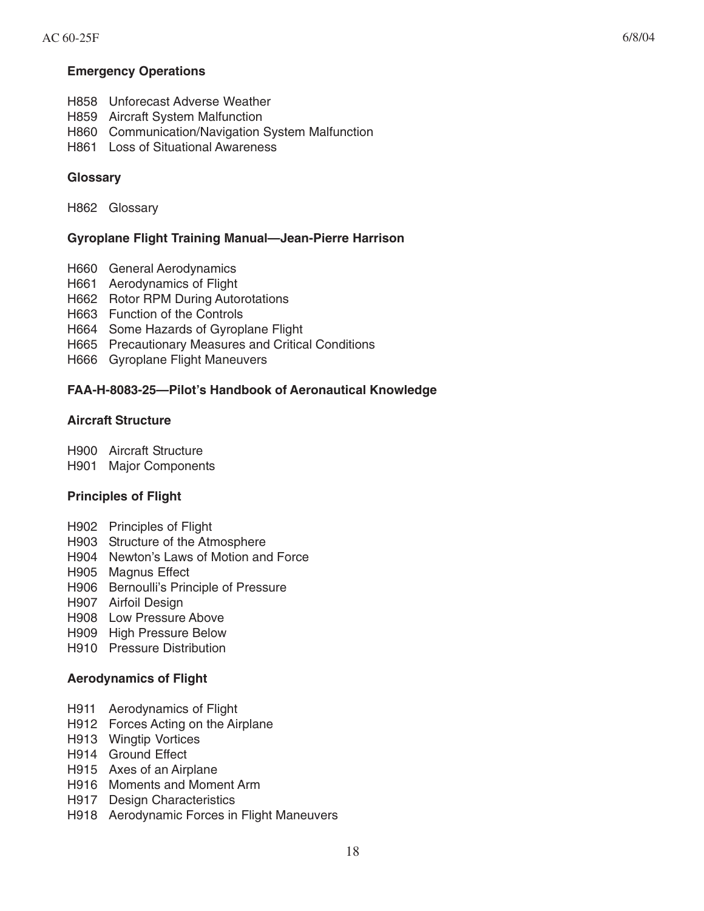## **Emergency Operations**

- H858 Unforecast Adverse Weather
- H859 Aircraft System Malfunction
- H860 Communication/Navigation System Malfunction
- H861 Loss of Situational Awareness

#### **Glossary**

H862 Glossary

## **Gyroplane Flight Training Manual—Jean-Pierre Harrison**

- H660 General Aerodynamics
- H661 Aerodynamics of Flight
- H662 Rotor RPM During Autorotations
- H663 Function of the Controls
- H664 Some Hazards of Gyroplane Flight
- H665 Precautionary Measures and Critical Conditions
- H666 Gyroplane Flight Maneuvers

## **FAA-H-8083-25—Pilot's Handbook of Aeronautical Knowledge**

#### **Aircraft Structure**

H900 Aircraft Structure

H901 Major Components

## **Principles of Flight**

- H902 Principles of Flight
- H903 Structure of the Atmosphere
- H904 Newton's Laws of Motion and Force
- H905 Magnus Effect
- H906 Bernoulli's Principle of Pressure
- H907 Airfoil Design
- H908 Low Pressure Above
- H909 High Pressure Below
- H910 Pressure Distribution

## **Aerodynamics of Flight**

- H911 Aerodynamics of Flight
- H912 Forces Acting on the Airplane
- H913 Wingtip Vortices
- H914 Ground Effect
- H915 Axes of an Airplane
- H916 Moments and Moment Arm
- H917 Design Characteristics
- H918 Aerodynamic Forces in Flight Maneuvers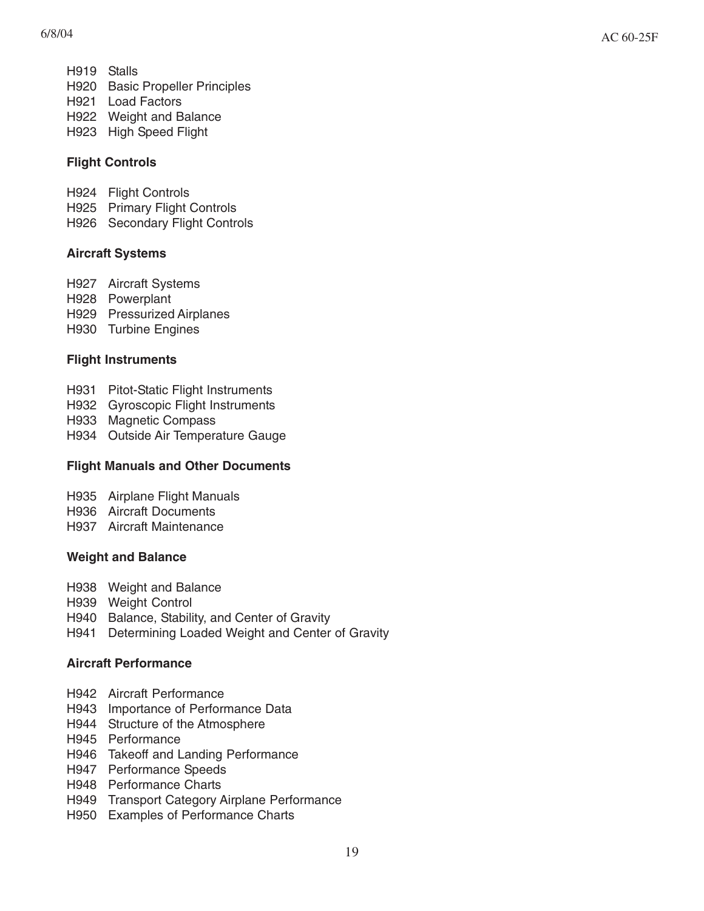- H919 Stalls
- H920 Basic Propeller Principles
- H921 Load Factors
- H922 Weight and Balance
- H923 High Speed Flight

#### **Flight Controls**

- H924 Flight Controls
- H925 Primary Flight Controls
- H926 Secondary Flight Controls

#### **Aircraft Systems**

H927 Aircraft Systems

- H928 Powerplant
- H929 Pressurized Airplanes
- H930 Turbine Engines

## **Flight Instruments**

- H931 Pitot-Static Flight Instruments
- H932 Gyroscopic Flight Instruments
- H933 Magnetic Compass
- H934 Outside Air Temperature Gauge

## **Flight Manuals and Other Documents**

- H935 Airplane Flight Manuals
- H936 Aircraft Documents
- H937 Aircraft Maintenance

## **Weight and Balance**

- H938 Weight and Balance
- H939 Weight Control
- H940 Balance, Stability, and Center of Gravity
- H941 Determining Loaded Weight and Center of Gravity

## **Aircraft Performance**

- H942 Aircraft Performance
- H943 Importance of Performance Data
- H944 Structure of the Atmosphere
- H945 Performance
- H946 Takeoff and Landing Performance
- H947 Performance Speeds
- H948 Performance Charts
- H949 Transport Category Airplane Performance
- H950 Examples of Performance Charts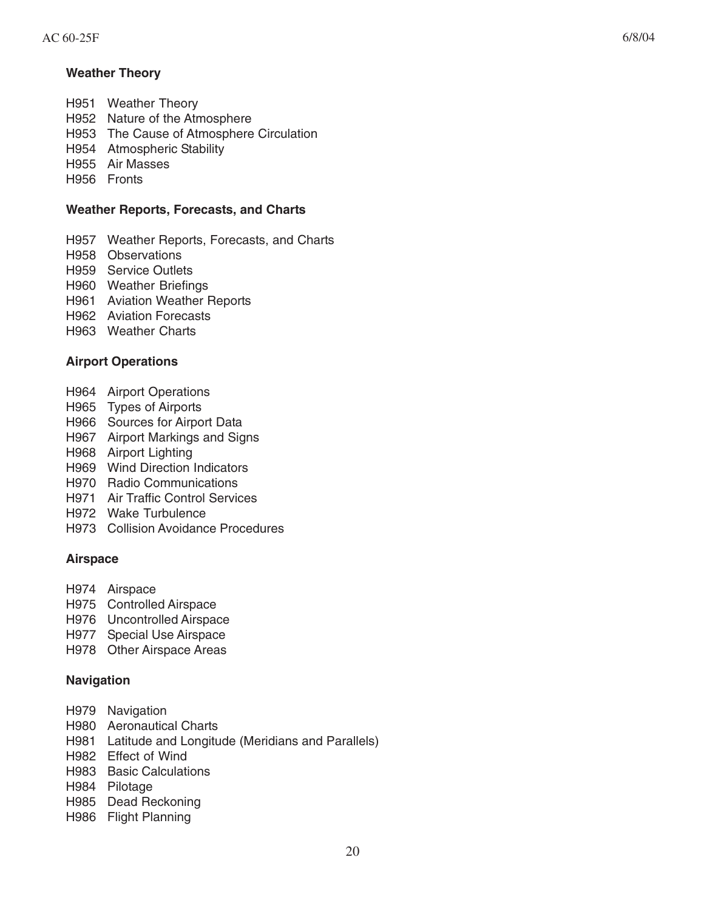## **Weather Theory**

- H951 Weather Theory
- H952 Nature of the Atmosphere
- H953 The Cause of Atmosphere Circulation
- H954 Atmospheric Stability
- H955 Air Masses
- H956 Fronts

## **Weather Reports, Forecasts, and Charts**

- H957 Weather Reports, Forecasts, and Charts
- H958 Observations
- H959 Service Outlets
- H960 Weather Briefings
- H961 Aviation Weather Reports
- H962 Aviation Forecasts
- H963 Weather Charts

## **Airport Operations**

- H964 Airport Operations
- H965 Types of Airports
- H966 Sources for Airport Data
- H967 Airport Markings and Signs
- H968 Airport Lighting
- H969 Wind Direction Indicators
- H970 Radio Communications
- H971 Air Traffic Control Services
- H972 Wake Turbulence
- H973 Collision Avoidance Procedures

## **Airspace**

- H974 Airspace
- H975 Controlled Airspace
- H976 Uncontrolled Airspace
- H977 Special Use Airspace
- H978 Other Airspace Areas

## **Navigation**

- H979 Navigation
- H980 Aeronautical Charts
- H981 Latitude and Longitude (Meridians and Parallels)
- H982 Effect of Wind
- H983 Basic Calculations
- H984 Pilotage
- H985 Dead Reckoning
- H986 Flight Planning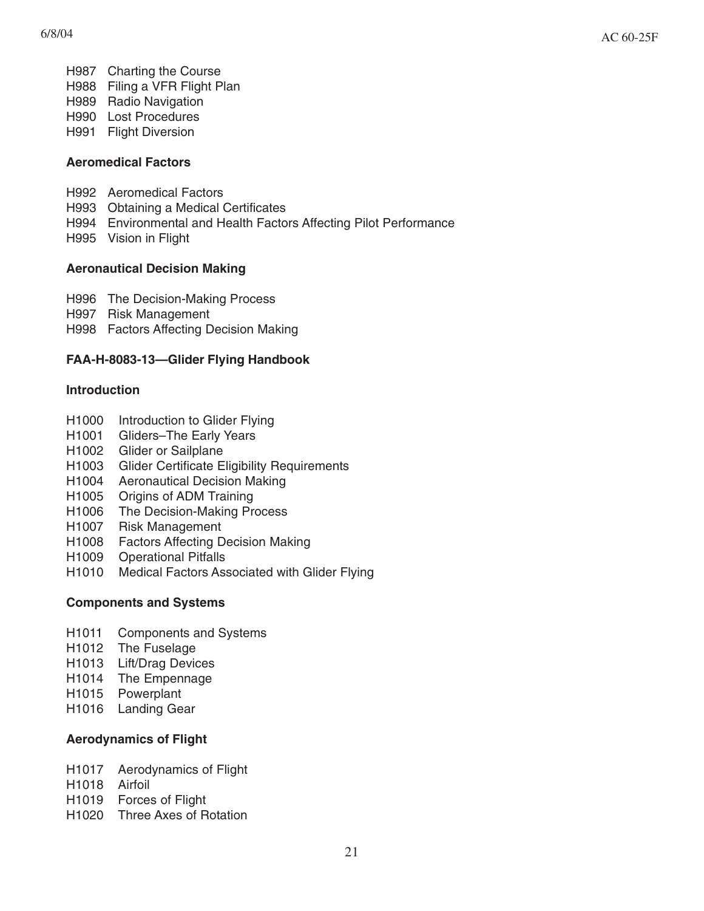H987 Charting the Course

- H988 Filing a VFR Flight Plan
- H989 Radio Navigation
- H990 Lost Procedures
- H991 Flight Diversion

## **Aeromedical Factors**

- H992 Aeromedical Factors
- H993 Obtaining a Medical Certificates
- H994 Environmental and Health Factors Affecting Pilot Performance
- H995 Vision in Flight

## **Aeronautical Decision Making**

H996 The Decision-Making Process

- H997 Risk Management
- H998 Factors Affecting Decision Making

## **FAA-H-8083-13—Glider Flying Handbook**

## **Introduction**

- H1000 Introduction to Glider Flying
- H1001 Gliders–The Early Years
- H1002 Glider or Sailplane
- H1003 Glider Certificate Eligibility Requirements
- H1004 Aeronautical Decision Making
- H1005 Origins of ADM Training
- H1006 The Decision-Making Process
- H1007 Risk Management
- H1008 Factors Affecting Decision Making
- H1009 Operational Pitfalls
- H1010 Medical Factors Associated with Glider Flying

## **Components and Systems**

- H1011 Components and Systems
- H1012 The Fuselage
- H1013 Lift/Drag Devices
- H1014 The Empennage
- H1015 Powerplant
- H1016 Landing Gear

## **Aerodynamics of Flight**

- H1017 Aerodynamics of Flight
- H1018 Airfoil
- H1019 Forces of Flight
- H1020 Three Axes of Rotation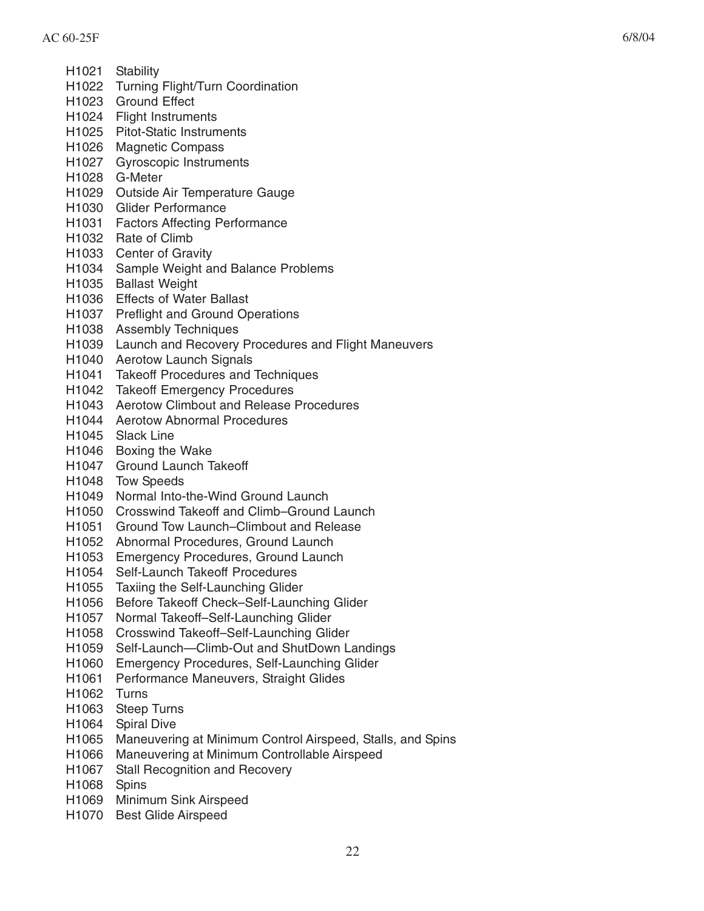- H1021 Stability
- H1022 Turning Flight/Turn Coordination
- H1023 Ground Effect
- H1024 Flight Instruments
- H1025 Pitot-Static Instruments
- H1026 Magnetic Compass
- H1027 Gyroscopic Instruments
- H1028 G-Meter
- H1029 Outside Air Temperature Gauge
- H1030 Glider Performance
- H1031 Factors Affecting Performance
- H1032 Rate of Climb
- H1033 Center of Gravity
- H1034 Sample Weight and Balance Problems
- H1035 Ballast Weight
- H1036 Effects of Water Ballast
- H1037 Preflight and Ground Operations
- H1038 Assembly Techniques
- H1039 Launch and Recovery Procedures and Flight Maneuvers
- H1040 Aerotow Launch Signals
- H1041 Takeoff Procedures and Techniques
- H1042 Takeoff Emergency Procedures
- H1043 Aerotow Climbout and Release Procedures
- H1044 Aerotow Abnormal Procedures
- H1045 Slack Line
- H1046 Boxing the Wake
- H1047 Ground Launch Takeoff
- H1048 Tow Speeds
- H1049 Normal Into-the-Wind Ground Launch
- H1050 Crosswind Takeoff and Climb–Ground Launch
- H1051 Ground Tow Launch–Climbout and Release
- H1052 Abnormal Procedures, Ground Launch
- H1053 Emergency Procedures, Ground Launch
- H1054 Self-Launch Takeoff Procedures
- H1055 Taxiing the Self-Launching Glider
- H1056 Before Takeoff Check–Self-Launching Glider
- H1057 Normal Takeoff–Self-Launching Glider
- H1058 Crosswind Takeoff–Self-Launching Glider
- H1059 Self-Launch—Climb-Out and ShutDown Landings
- H1060 Emergency Procedures, Self-Launching Glider
- H1061 Performance Maneuvers, Straight Glides
- H1062 Turns
- H1063 Steep Turns
- H1064 Spiral Dive
- H1065 Maneuvering at Minimum Control Airspeed, Stalls, and Spins
- H1066 Maneuvering at Minimum Controllable Airspeed
- H1067 Stall Recognition and Recovery
- H1068 Spins
- H1069 Minimum Sink Airspeed
- H1070 Best Glide Airspeed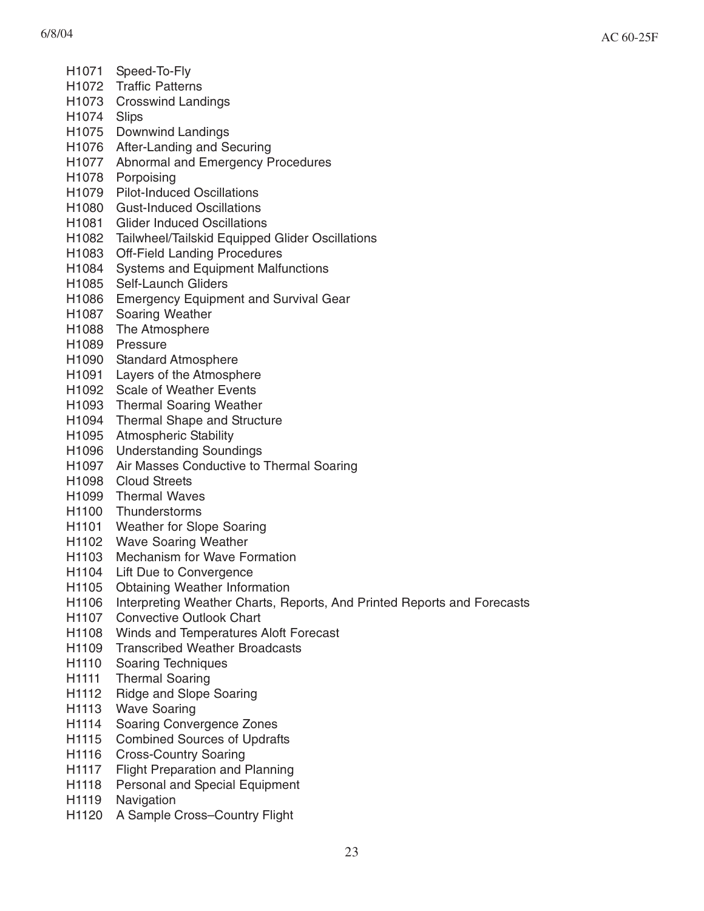- H1071 Speed-To-Fly
- H1072 Traffic Patterns
- H1073 Crosswind Landings
- H1074 Slips
- H1075 Downwind Landings
- H1076 After-Landing and Securing
- H1077 Abnormal and Emergency Procedures
- H1078 Porpoising
- H1079 Pilot-Induced Oscillations
- H1080 Gust-Induced Oscillations
- H1081 Glider Induced Oscillations
- H1082 Tailwheel/Tailskid Equipped Glider Oscillations
- H1083 Off-Field Landing Procedures
- H1084 Systems and Equipment Malfunctions
- H1085 Self-Launch Gliders
- H1086 Emergency Equipment and Survival Gear
- H1087 Soaring Weather
- H1088 The Atmosphere
- H1089 Pressure
- H1090 Standard Atmosphere
- H1091 Layers of the Atmosphere
- H1092 Scale of Weather Events
- H1093 Thermal Soaring Weather
- H1094 Thermal Shape and Structure
- H1095 Atmospheric Stability
- H1096 Understanding Soundings
- H1097 Air Masses Conductive to Thermal Soaring
- H1098 Cloud Streets
- H1099 Thermal Waves
- H1100 Thunderstorms
- H1101 Weather for Slope Soaring
- H1102 Wave Soaring Weather
- H1103 Mechanism for Wave Formation
- H1104 Lift Due to Convergence
- H1105 Obtaining Weather Information
- H1106 Interpreting Weather Charts, Reports, And Printed Reports and Forecasts
- H1107 Convective Outlook Chart
- H1108 Winds and Temperatures Aloft Forecast
- H1109 Transcribed Weather Broadcasts
- H1110 Soaring Techniques
- H1111 Thermal Soaring
- H1112 Ridge and Slope Soaring
- H1113 Wave Soaring
- H1114 Soaring Convergence Zones
- H1115 Combined Sources of Updrafts
- H1116 Cross-Country Soaring
- H1117 Flight Preparation and Planning
- H1118 Personal and Special Equipment
- H1119 Navigation
- H1120 A Sample Cross–Country Flight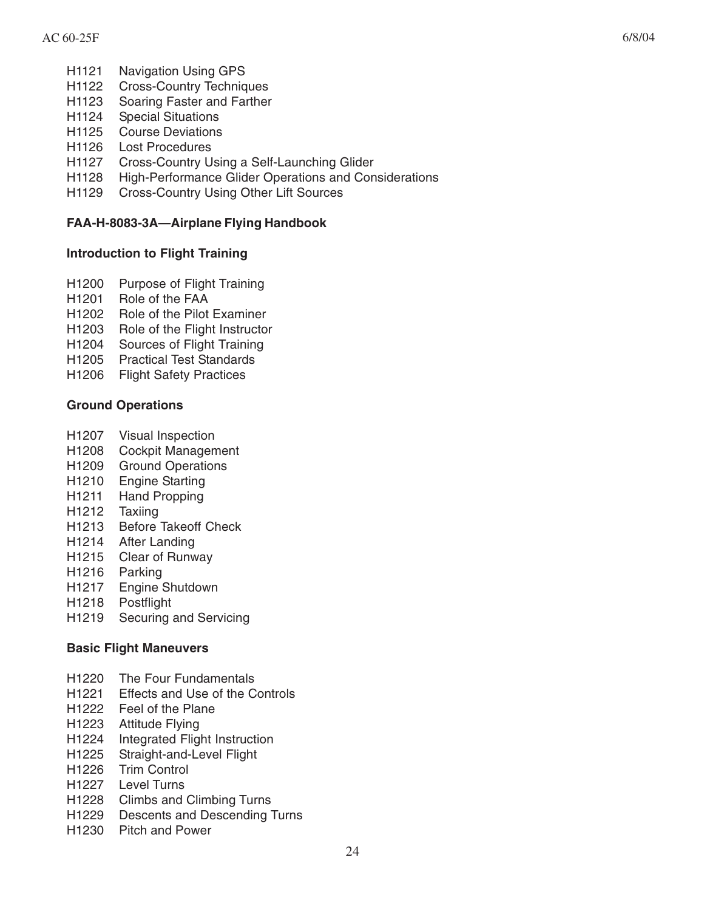- H1121 Navigation Using GPS
- H1122 Cross-Country Techniques
- H1123 Soaring Faster and Farther
- H1124 Special Situations
- H1125 Course Deviations
- H1126 Lost Procedures
- H1127 Cross-Country Using a Self-Launching Glider
- H1128 High-Performance Glider Operations and Considerations
- H1129 Cross-Country Using Other Lift Sources

## **FAA-H-8083-3A—Airplane Flying Handbook**

## **Introduction to Flight Training**

- H1200 Purpose of Flight Training
- H1201 Role of the FAA
- H1202 Role of the Pilot Examiner
- H1203 Role of the Flight Instructor
- H1204 Sources of Flight Training
- H1205 Practical Test Standards
- H1206 Flight Safety Practices

## **Ground Operations**

- H1207 Visual Inspection
- H1208 Cockpit Management
- H1209 Ground Operations
- H1210 Engine Starting
- H1211 Hand Propping
- H1212 Taxiing
- H1213 Before Takeoff Check
- H1214 After Landing
- H1215 Clear of Runway
- H1216 Parking
- H1217 Engine Shutdown
- H1218 Postflight
- H1219 Securing and Servicing

## **Basic Flight Maneuvers**

- H1220 The Four Fundamentals
- H1221 Effects and Use of the Controls
- H1222 Feel of the Plane
- H1223 Attitude Flying
- H1224 Integrated Flight Instruction
- H1225 Straight-and-Level Flight
- H1226 Trim Control
- H1227 Level Turns
- H1228 Climbs and Climbing Turns
- H1229 Descents and Descending Turns
- H1230 Pitch and Power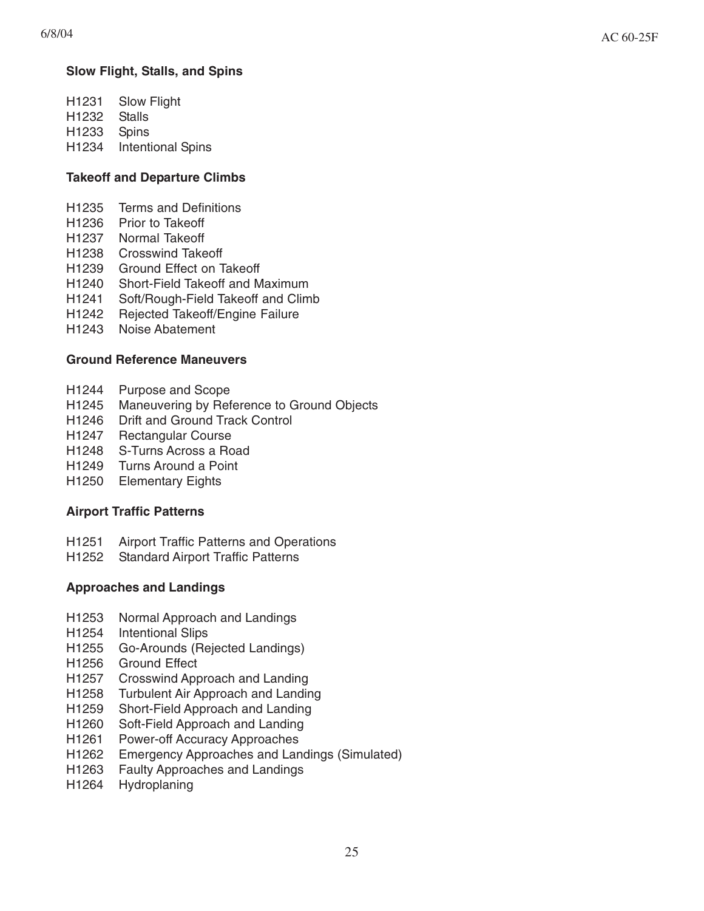## **Slow Flight, Stalls, and Spins**

H1231 Slow Flight H1232 Stalls H1233 Spins

H1234 Intentional Spins

## **Takeoff and Departure Climbs**

- H1235 Terms and Definitions
- H1236 Prior to Takeoff
- H1237 Normal Takeoff
- H1238 Crosswind Takeoff
- H1239 Ground Effect on Takeoff
- H1240 Short-Field Takeoff and Maximum
- H1241 Soft/Rough-Field Takeoff and Climb
- H1242 Rejected Takeoff/Engine Failure
- H1243 Noise Abatement

#### **Ground Reference Maneuvers**

- H1244 Purpose and Scope
- H1245 Maneuvering by Reference to Ground Objects
- H1246 Drift and Ground Track Control
- H1247 Rectangular Course
- H1248 S-Turns Across a Road
- H1249 Turns Around a Point
- H1250 Elementary Eights

## **Airport Traffic Patterns**

- H1251 Airport Traffic Patterns and Operations
- H1252 Standard Airport Traffic Patterns

## **Approaches and Landings**

- H1253 Normal Approach and Landings
- H1254 Intentional Slips
- H1255 Go-Arounds (Rejected Landings)
- H1256 Ground Effect
- H1257 Crosswind Approach and Landing
- H1258 Turbulent Air Approach and Landing
- H1259 Short-Field Approach and Landing
- H1260 Soft-Field Approach and Landing
- H1261 Power-off Accuracy Approaches
- H1262 Emergency Approaches and Landings (Simulated)
- H1263 Faulty Approaches and Landings
- H1264 Hydroplaning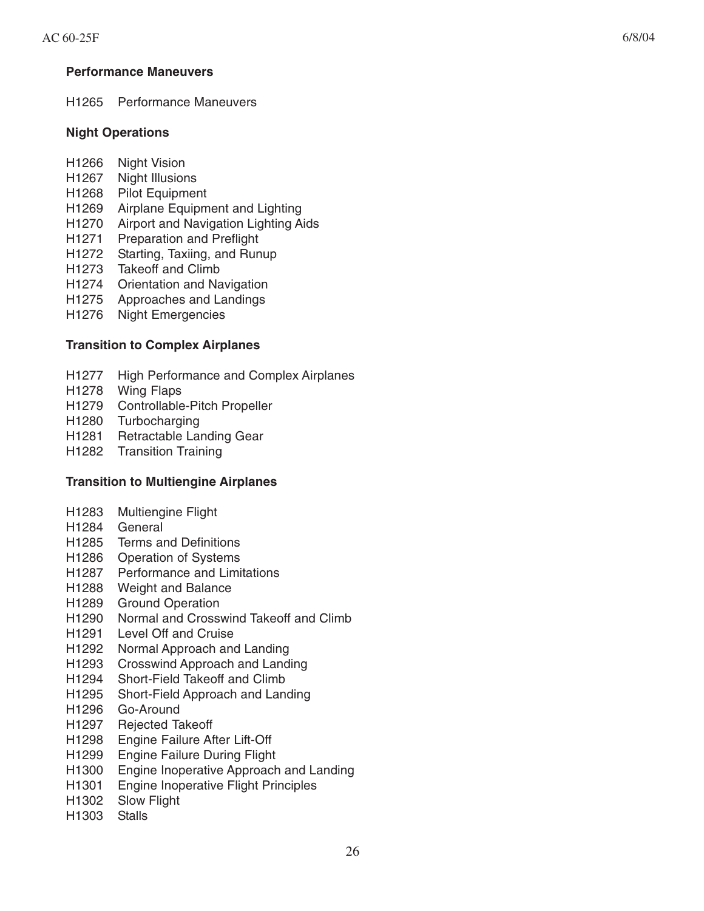## **Performance Maneuvers**

H1265 Performance Maneuvers

#### **Night Operations**

- H1266 Night Vision
- H1267 Night Illusions
- H1268 Pilot Equipment
- H1269 Airplane Equipment and Lighting
- H1270 Airport and Navigation Lighting Aids
- H1271 Preparation and Preflight
- H1272 Starting, Taxiing, and Runup
- H1273 Takeoff and Climb
- H1274 Orientation and Navigation
- H1275 Approaches and Landings
- H1276 Night Emergencies

## **Transition to Complex Airplanes**

- H1277 High Performance and Complex Airplanes
- H1278 Wing Flaps
- H1279 Controllable-Pitch Propeller
- H1280 Turbocharging
- H1281 Retractable Landing Gear
- H1282 Transition Training

## **Transition to Multiengine Airplanes**

- H1283 Multiengine Flight
- H1284 General
- H1285 Terms and Definitions
- H1286 Operation of Systems
- H1287 Performance and Limitations
- H1288 Weight and Balance
- H1289 Ground Operation
- H1290 Normal and Crosswind Takeoff and Climb
- H1291 Level Off and Cruise
- H1292 Normal Approach and Landing
- H1293 Crosswind Approach and Landing
- H1294 Short-Field Takeoff and Climb
- H1295 Short-Field Approach and Landing
- H1296 Go-Around
- H1297 Rejected Takeoff
- H1298 Engine Failure After Lift-Off
- H1299 Engine Failure During Flight
- H1300 Engine Inoperative Approach and Landing
- H1301 Engine Inoperative Flight Principles
- H1302 Slow Flight
- H1303 Stalls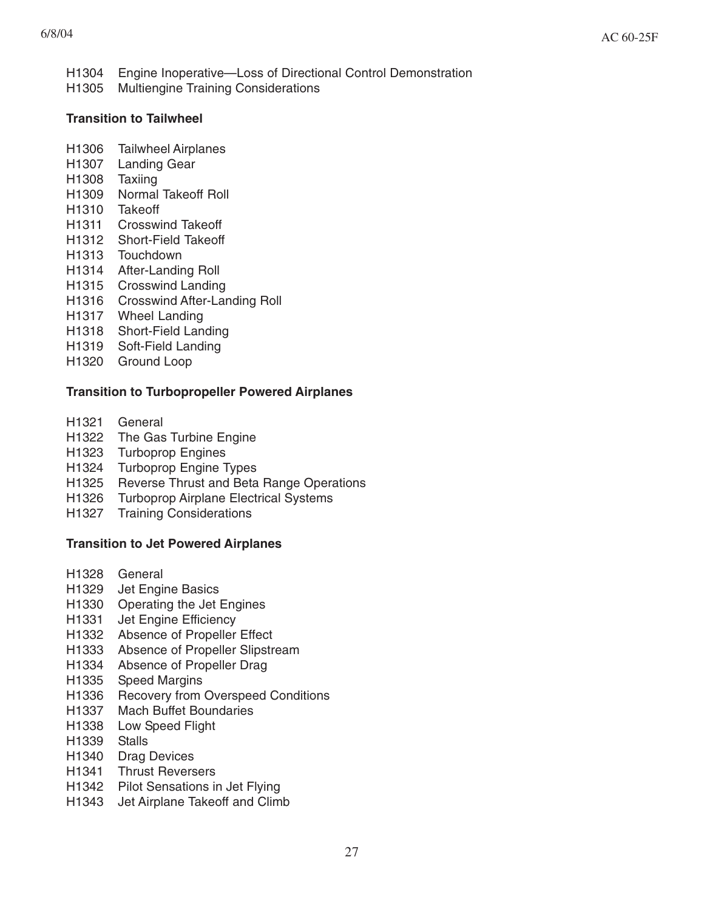- H1304 Engine Inoperative—Loss of Directional Control Demonstration
- H1305 Multiengine Training Considerations

## **Transition to Tailwheel**

- H1306 Tailwheel Airplanes
- H1307 Landing Gear
- H1308 Taxiing
- H1309 Normal Takeoff Roll
- H1310 Takeoff
- H1311 Crosswind Takeoff
- H1312 Short-Field Takeoff
- H1313 Touchdown
- H1314 After-Landing Roll
- H1315 Crosswind Landing
- H1316 Crosswind After-Landing Roll
- H1317 Wheel Landing
- H1318 Short-Field Landing
- H1319 Soft-Field Landing
- H1320 Ground Loop

## **Transition to Turbopropeller Powered Airplanes**

- H1321 General
- H1322 The Gas Turbine Engine
- H1323 Turboprop Engines
- H1324 Turboprop Engine Types
- H1325 Reverse Thrust and Beta Range Operations
- H1326 Turboprop Airplane Electrical Systems
- H1327 Training Considerations

## **Transition to Jet Powered Airplanes**

- H1328 General
- H1329 Jet Engine Basics
- H1330 Operating the Jet Engines
- H1331 Jet Engine Efficiency
- H1332 Absence of Propeller Effect
- H1333 Absence of Propeller Slipstream
- H1334 Absence of Propeller Drag
- H1335 Speed Margins
- H1336 Recovery from Overspeed Conditions
- H1337 Mach Buffet Boundaries
- H1338 Low Speed Flight
- H1339 Stalls
- H1340 Drag Devices
- H1341 Thrust Reversers
- H1342 Pilot Sensations in Jet Flying
- H1343 Jet Airplane Takeoff and Climb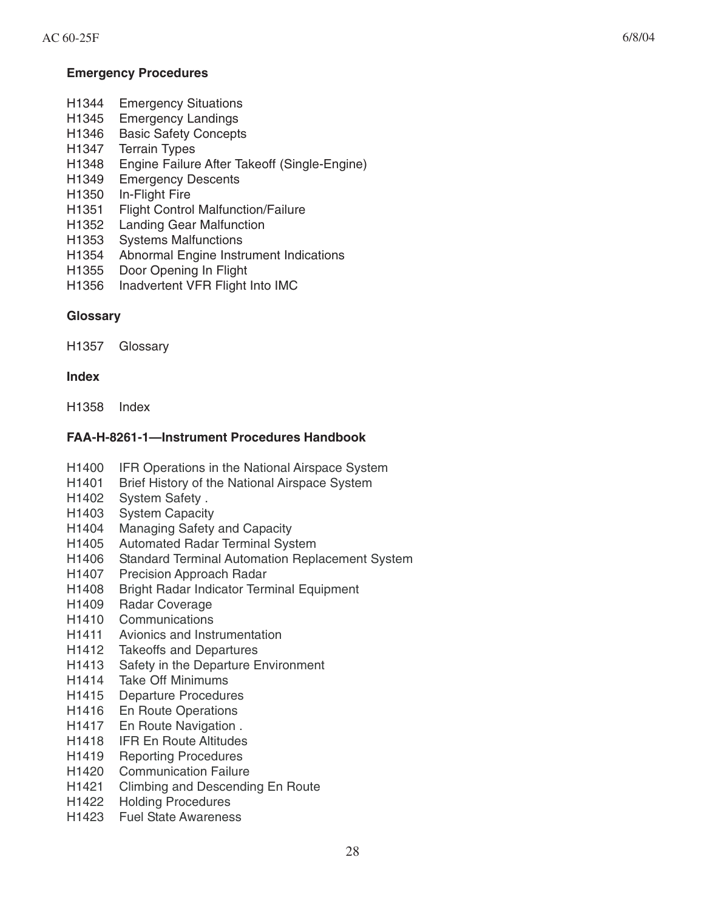## **Emergency Procedures**

- H1344 Emergency Situations
- H1345 Emergency Landings
- H1346 Basic Safety Concepts
- H1347 Terrain Types
- H1348 Engine Failure After Takeoff (Single-Engine)
- H1349 Emergency Descents
- H1350 In-Flight Fire
- H1351 Flight Control Malfunction/Failure
- H1352 Landing Gear Malfunction
- H1353 Systems Malfunctions
- H1354 Abnormal Engine Instrument Indications
- H1355 Door Opening In Flight
- H1356 Inadvertent VFR Flight Into IMC

#### **Glossary**

H1357 Glossary

#### **Index**

H1358 Index

## **FAA-H-8261-1—Instrument Procedures Handbook**

- H1400 IFR Operations in the National Airspace System
- H1401 Brief History of the National Airspace System
- H1402 System Safety .
- H1403 System Capacity
- H1404 Managing Safety and Capacity
- H1405 Automated Radar Terminal System
- H1406 Standard Terminal Automation Replacement System
- H1407 Precision Approach Radar
- H1408 Bright Radar Indicator Terminal Equipment
- H1409 Radar Coverage
- H1410 Communications
- H1411 Avionics and Instrumentation
- H1412 Takeoffs and Departures
- H1413 Safety in the Departure Environment
- H1414 Take Off Minimums
- H1415 Departure Procedures
- H1416 En Route Operations
- H1417 En Route Navigation .
- H1418 IFR En Route Altitudes
- H1419 Reporting Procedures
- H1420 Communication Failure
- H1421 Climbing and Descending En Route
- H1422 Holding Procedures
- H1423 Fuel State Awareness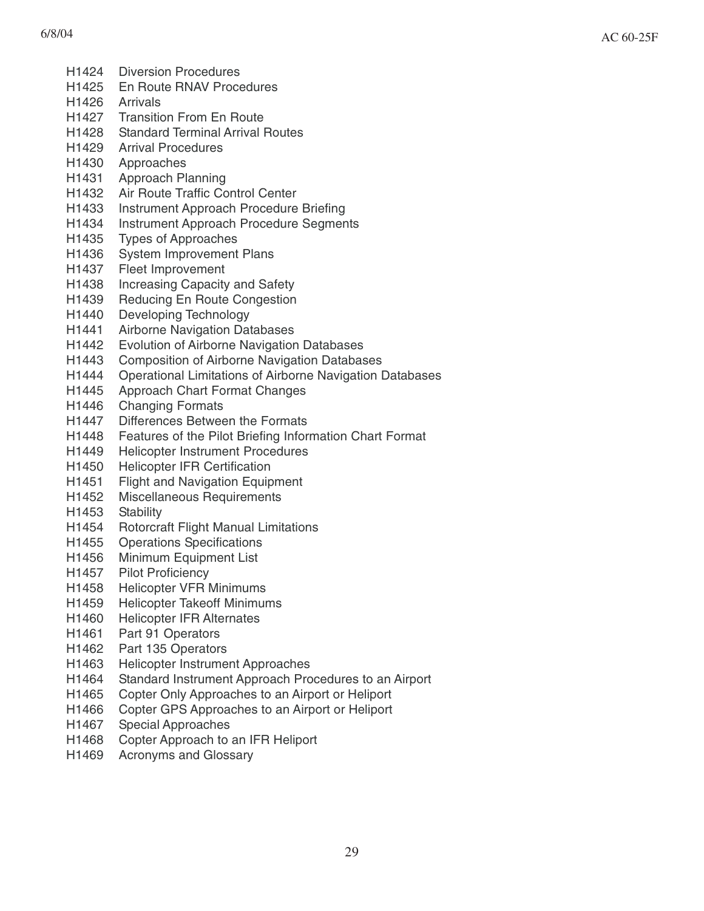- H1424 Diversion Procedures
- H1425 En Route RNAV Procedures
- H1426 Arrivals
- H1427 Transition From En Route
- H1428 Standard Terminal Arrival Routes
- H1429 Arrival Procedures
- H1430 Approaches
- H1431 Approach Planning
- H1432 Air Route Traffic Control Center
- H1433 Instrument Approach Procedure Briefing
- H1434 Instrument Approach Procedure Segments
- H1435 Types of Approaches
- H1436 System Improvement Plans
- H1437 Fleet Improvement
- H1438 Increasing Capacity and Safety
- H1439 Reducing En Route Congestion
- H1440 Developing Technology
- H1441 Airborne Navigation Databases
- H1442 Evolution of Airborne Navigation Databases
- H1443 Composition of Airborne Navigation Databases
- H1444 Operational Limitations of Airborne Navigation Databases
- H1445 Approach Chart Format Changes
- H1446 Changing Formats
- H1447 Differences Between the Formats
- H1448 Features of the Pilot Briefing Information Chart Format
- H1449 Helicopter Instrument Procedures
- H1450 Helicopter IFR Certification
- H1451 Flight and Navigation Equipment
- H1452 Miscellaneous Requirements
- H1453 Stability
- H1454 Rotorcraft Flight Manual Limitations
- H1455 Operations Specifications
- H1456 Minimum Equipment List
- H1457 Pilot Proficiency
- H1458 Helicopter VFR Minimums
- H1459 Helicopter Takeoff Minimums
- H1460 Helicopter IFR Alternates
- H1461 Part 91 Operators
- H1462 Part 135 Operators
- H1463 Helicopter Instrument Approaches
- H1464 Standard Instrument Approach Procedures to an Airport
- H1465 Copter Only Approaches to an Airport or Heliport
- H1466 Copter GPS Approaches to an Airport or Heliport
- H1467 Special Approaches
- H1468 Copter Approach to an IFR Heliport
- H1469 Acronyms and Glossary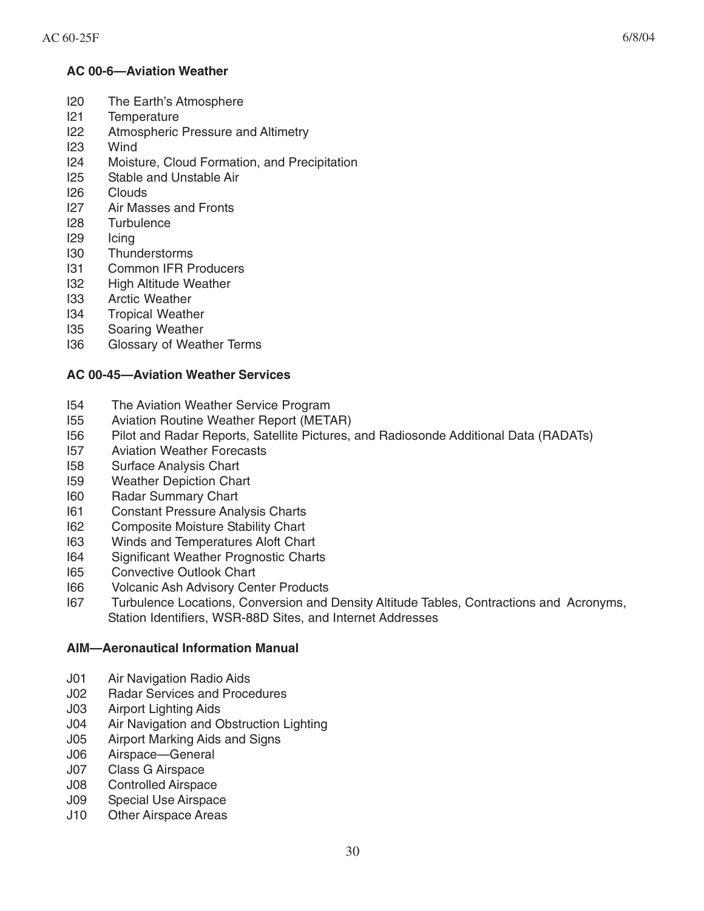## **AC 00-6—Aviation Weather**

- I20 The Earth's Atmosphere
- I21 Temperature
- I22 Atmospheric Pressure and Altimetry
- I23 Wind
- I24 Moisture, Cloud Formation, and Precipitation
- I25 Stable and Unstable Air
- I26 Clouds
- I27 Air Masses and Fronts
- I28 Turbulence
- I29 Icing
- I30 Thunderstorms
- I31 Common IFR Producers
- I32 High Altitude Weather
- I33 Arctic Weather
- I34 Tropical Weather
- I35 Soaring Weather
- I36 Glossary of Weather Terms

#### **AC 00-45—Aviation Weather Services**

- I54 The Aviation Weather Service Program
- I55 Aviation Routine Weather Report (METAR)
- I56 Pilot and Radar Reports, Satellite Pictures, and Radiosonde Additional Data (RADATs)
- I57 Aviation Weather Forecasts
- I58 Surface Analysis Chart
- I59 Weather Depiction Chart
- I60 Radar Summary Chart
- I61 Constant Pressure Analysis Charts
- I62 Composite Moisture Stability Chart
- I63 Winds and Temperatures Aloft Chart
- I64 Significant Weather Prognostic Charts
- I65 Convective Outlook Chart
- I66 Volcanic Ash Advisory Center Products
- I67 Turbulence Locations, Conversion and Density Altitude Tables, Contractions and Acronyms, Station Identifiers, WSR-88D Sites, and Internet Addresses

#### **AIM—Aeronautical Information Manual**

- J01 Air Navigation Radio Aids
- J02 Radar Services and Procedures
- J03 Airport Lighting Aids
- J04 Air Navigation and Obstruction Lighting
- J05 Airport Marking Aids and Signs
- J06 Airspace—General
- J07 Class G Airspace
- J08 Controlled Airspace
- J09 Special Use Airspace
- J10 Other Airspace Areas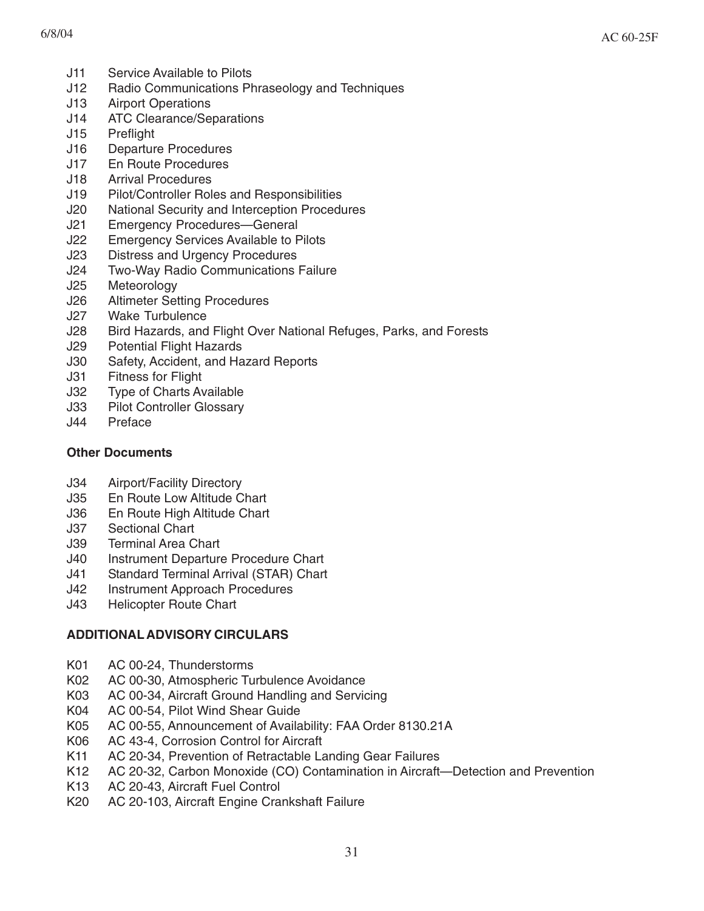- J11 Service Available to Pilots
- J12 Radio Communications Phraseology and Techniques
- J13 Airport Operations
- J14 ATC Clearance/Separations
- J15 Preflight
- J16 Departure Procedures
- J17 En Route Procedures
- J18 Arrival Procedures
- J19 Pilot/Controller Roles and Responsibilities
- J20 National Security and Interception Procedures
- J21 Emergency Procedures—General
- J22 Emergency Services Available to Pilots
- J23 Distress and Urgency Procedures
- J24 Two-Way Radio Communications Failure
- J25 Meteorology
- J26 Altimeter Setting Procedures
- J27 Wake Turbulence
- J28 Bird Hazards, and Flight Over National Refuges, Parks, and Forests
- J29 Potential Flight Hazards
- J30 Safety, Accident, and Hazard Reports
- J31 Fitness for Flight
- J32 Type of Charts Available
- J33 Pilot Controller Glossary
- J44 Preface

#### **Other Documents**

- J34 Airport/Facility Directory
- J35 En Route Low Altitude Chart
- J36 En Route High Altitude Chart
- J37 Sectional Chart
- J39 Terminal Area Chart
- J40 Instrument Departure Procedure Chart
- J41 Standard Terminal Arrival (STAR) Chart
- J42 Instrument Approach Procedures
- J43 Helicopter Route Chart

## **ADDITIONAL ADVISORY CIRCULARS**

- K01 AC 00-24, Thunderstorms
- K02 AC 00-30, Atmospheric Turbulence Avoidance
- K03 AC 00-34, Aircraft Ground Handling and Servicing
- K04 AC 00-54, Pilot Wind Shear Guide
- K05 AC 00-55, Announcement of Availability: FAA Order 8130.21A
- K06 AC 43-4, Corrosion Control for Aircraft
- K11 AC 20-34, Prevention of Retractable Landing Gear Failures
- K12 AC 20-32, Carbon Monoxide (CO) Contamination in Aircraft—Detection and Prevention
- K13 AC 20-43, Aircraft Fuel Control
- K20 AC 20-103, Aircraft Engine Crankshaft Failure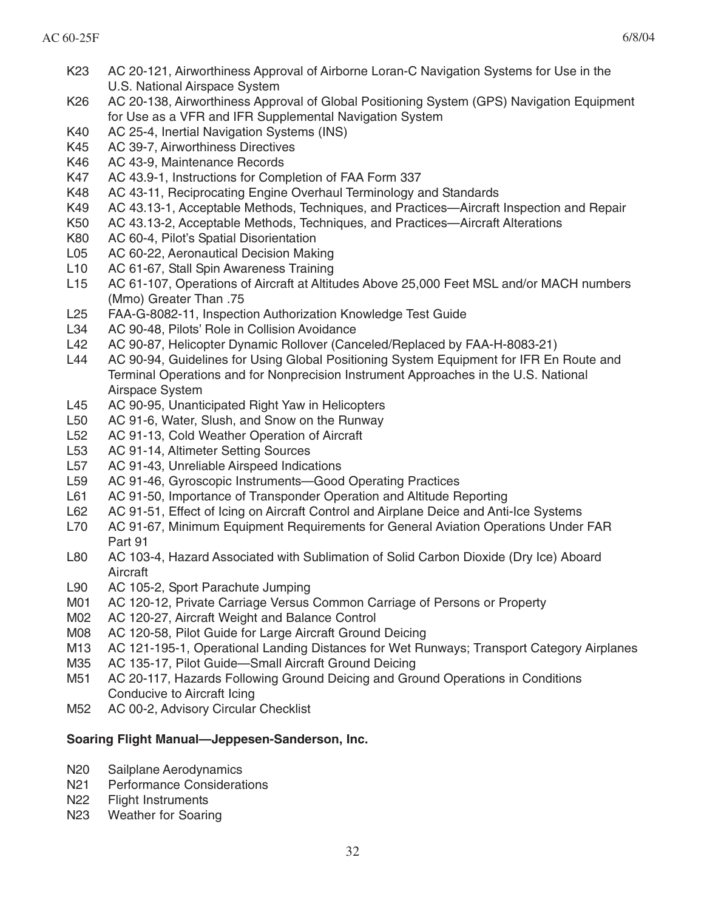- K23 AC 20-121, Airworthiness Approval of Airborne Loran-C Navigation Systems for Use in the U.S. National Airspace System
- K26 AC 20-138, Airworthiness Approval of Global Positioning System (GPS) Navigation Equipment for Use as a VFR and IFR Supplemental Navigation System
- K40 AC 25-4, Inertial Navigation Systems (INS)
- K45 AC 39-7, Airworthiness Directives
- K46 AC 43-9, Maintenance Records
- K47 AC 43.9-1, Instructions for Completion of FAA Form 337
- K48 AC 43-11, Reciprocating Engine Overhaul Terminology and Standards
- K49 AC 43.13-1, Acceptable Methods, Techniques, and Practices—Aircraft Inspection and Repair
- K50 AC 43.13-2, Acceptable Methods, Techniques, and Practices—Aircraft Alterations
- K80 AC 60-4, Pilot's Spatial Disorientation
- L05 AC 60-22, Aeronautical Decision Making
- L10 AC 61-67, Stall Spin Awareness Training
- L15 AC 61-107, Operations of Aircraft at Altitudes Above 25,000 Feet MSL and/or MACH numbers (Mmo) Greater Than .75
- L25 FAA-G-8082-11, Inspection Authorization Knowledge Test Guide
- L34 AC 90-48, Pilots' Role in Collision Avoidance
- L42 AC 90-87, Helicopter Dynamic Rollover (Canceled/Replaced by FAA-H-8083-21)
- L44 AC 90-94, Guidelines for Using Global Positioning System Equipment for IFR En Route and Terminal Operations and for Nonprecision Instrument Approaches in the U.S. National Airspace System
- L45 AC 90-95, Unanticipated Right Yaw in Helicopters
- L50 AC 91-6, Water, Slush, and Snow on the Runway
- L52 AC 91-13, Cold Weather Operation of Aircraft
- L53 AC 91-14, Altimeter Setting Sources
- L57 AC 91-43, Unreliable Airspeed Indications
- L59 AC 91-46, Gyroscopic Instruments—Good Operating Practices
- L61 AC 91-50, Importance of Transponder Operation and Altitude Reporting
- L62 AC 91-51, Effect of Icing on Aircraft Control and Airplane Deice and Anti-Ice Systems
- L70 AC 91-67, Minimum Equipment Requirements for General Aviation Operations Under FAR Part 91
- L80 AC 103-4, Hazard Associated with Sublimation of Solid Carbon Dioxide (Dry Ice) Aboard Aircraft
- L90 AC 105-2, Sport Parachute Jumping
- M01 AC 120-12, Private Carriage Versus Common Carriage of Persons or Property
- M02 AC 120-27, Aircraft Weight and Balance Control
- M08 AC 120-58, Pilot Guide for Large Aircraft Ground Deicing
- M13 AC 121-195-1, Operational Landing Distances for Wet Runways; Transport Category Airplanes
- M35 AC 135-17, Pilot Guide—Small Aircraft Ground Deicing
- M51 AC 20-117, Hazards Following Ground Deicing and Ground Operations in Conditions Conducive to Aircraft Icing
- M52 AC 00-2, Advisory Circular Checklist

## **Soaring Flight Manual—Jeppesen-Sanderson, Inc.**

- N20 Sailplane Aerodynamics
- N21 Performance Considerations
- N22 Flight Instruments
- N23 Weather for Soaring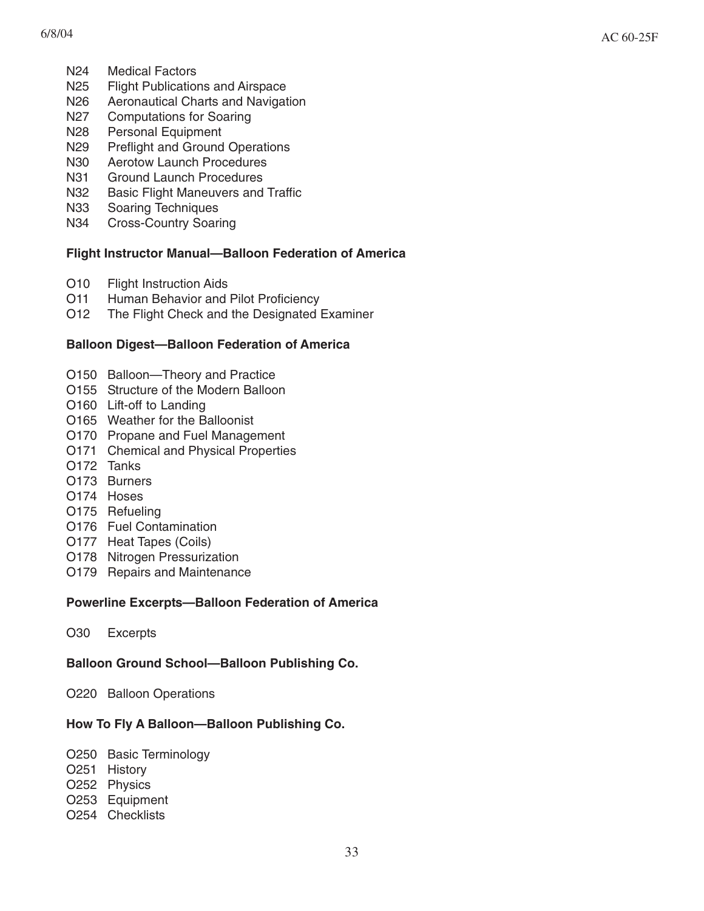- N24 Medical Factors
- N25 Flight Publications and Airspace
- N26 Aeronautical Charts and Navigation
- N27 Computations for Soaring
- N28 Personal Equipment
- N29 Preflight and Ground Operations
- N30 Aerotow Launch Procedures
- N31 Ground Launch Procedures
- N32 Basic Flight Maneuvers and Traffic
- N33 Soaring Techniques
- N34 Cross-Country Soaring

#### **Flight Instructor Manual—Balloon Federation of America**

- O10 Flight Instruction Aids
- O11 Human Behavior and Pilot Proficiency
- O12 The Flight Check and the Designated Examiner

#### **Balloon Digest—Balloon Federation of America**

- O150 Balloon—Theory and Practice
- O155 Structure of the Modern Balloon
- O160 Lift-off to Landing
- O165 Weather for the Balloonist
- O170 Propane and Fuel Management
- O171 Chemical and Physical Properties
- O172 Tanks
- O173 Burners
- O174 Hoses
- O175 Refueling
- O176 Fuel Contamination
- O177 Heat Tapes (Coils)
- O178 Nitrogen Pressurization
- O179 Repairs and Maintenance

## **Powerline Excerpts—Balloon Federation of America**

O30 Excerpts

## **Balloon Ground School—Balloon Publishing Co.**

O220 Balloon Operations

## **How To Fly A Balloon—Balloon Publishing Co.**

O250 Basic Terminology O251 History O252 Physics O253 Equipment O254 Checklists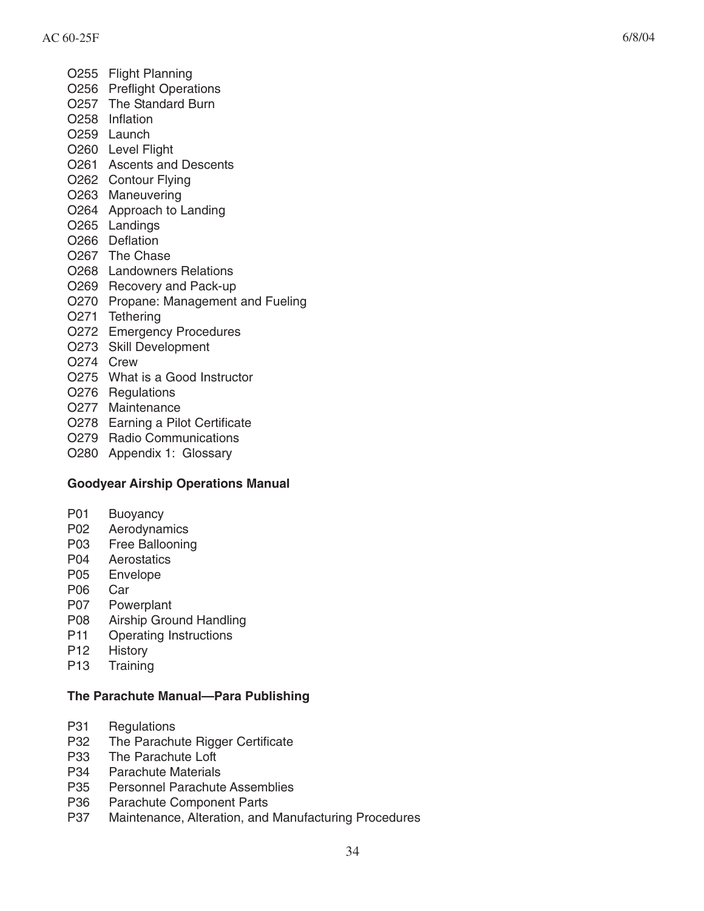- O255 Flight Planning
- O256 Preflight Operations
- O257 The Standard Burn
- O258 Inflation
- O259 Launch
- O260 Level Flight
- O261 Ascents and Descents
- O262 Contour Flying
- O263 Maneuvering
- O264 Approach to Landing
- O265 Landings
- O266 Deflation
- O267 The Chase
- O268 Landowners Relations
- O269 Recovery and Pack-up
- O270 Propane: Management and Fueling
- O271 Tethering
- O272 Emergency Procedures
- O273 Skill Development
- O274 Crew
- O275 What is a Good Instructor
- O276 Regulations
- O277 Maintenance
- O278 Earning a Pilot Certificate
- O279 Radio Communications
- O280 Appendix 1: Glossary

## **Goodyear Airship Operations Manual**

- P01 Buoyancy
- P02 Aerodynamics
- P03 Free Ballooning
- P04 Aerostatics
- P05 Envelope
- P06 Car
- P07 Powerplant
- P08 Airship Ground Handling
- P11 Operating Instructions
- P12 History
- P13 Training

## **The Parachute Manual—Para Publishing**

- P31 Regulations
- P32 The Parachute Rigger Certificate
- P33 The Parachute Loft
- P34 Parachute Materials
- P35 Personnel Parachute Assemblies
- P36 Parachute Component Parts
- P37 Maintenance, Alteration, and Manufacturing Procedures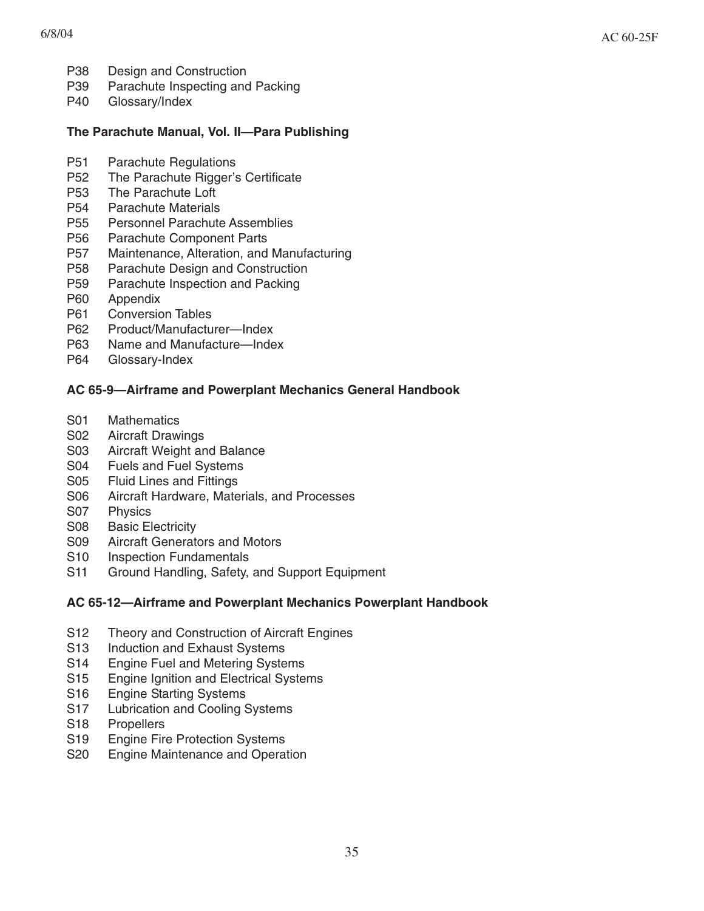- P38 Design and Construction
- P39 Parachute Inspecting and Packing
- P40 Glossary/Index

#### **The Parachute Manual, Vol. II—Para Publishing**

- P51 Parachute Regulations
- P52 The Parachute Rigger's Certificate
- P53 The Parachute Loft
- P54 Parachute Materials
- P55 Personnel Parachute Assemblies
- P56 Parachute Component Parts
- P57 Maintenance, Alteration, and Manufacturing
- P58 Parachute Design and Construction
- P59 Parachute Inspection and Packing
- P60 Appendix
- P61 Conversion Tables
- P62 Product/Manufacturer—Index
- P63 Name and Manufacture—Index
- P64 Glossary-Index

#### **AC 65-9—Airframe and Powerplant Mechanics General Handbook**

- S01 Mathematics
- S02 Aircraft Drawings
- S03 Aircraft Weight and Balance
- S04 Fuels and Fuel Systems
- S05 Fluid Lines and Fittings<br>S06 Aircraft Hardware, Mate
- Aircraft Hardware, Materials, and Processes
- S07 Physics
- S08 Basic Electricity
- S09 Aircraft Generators and Motors
- S10 Inspection Fundamentals
- S11 Ground Handling, Safety, and Support Equipment

## **AC 65-12—Airframe and Powerplant Mechanics Powerplant Handbook**

- S12 Theory and Construction of Aircraft Engines
- S13 Induction and Exhaust Systems
- S14 Engine Fuel and Metering Systems
- S15 Engine Ignition and Electrical Systems
- S16 Engine Starting Systems
- S17 Lubrication and Cooling Systems
- S18 Propellers
- S19 Engine Fire Protection Systems
- S20 Engine Maintenance and Operation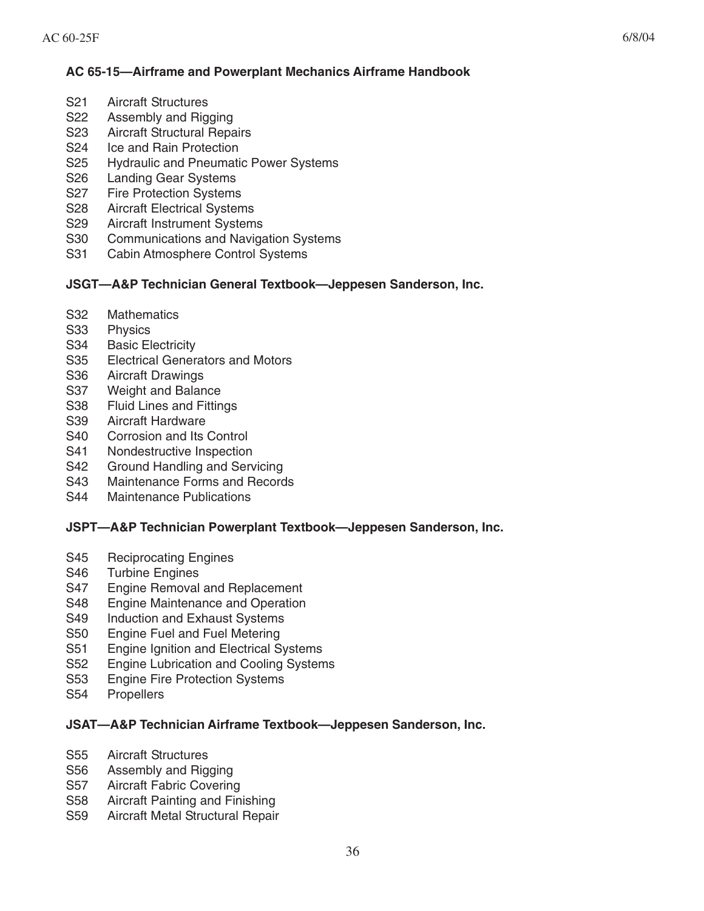- S21 Aircraft Structures
- S22 Assembly and Rigging
- S23 Aircraft Structural Repairs
- S24 Ice and Rain Protection
- S25 Hydraulic and Pneumatic Power Systems
- S26 Landing Gear Systems
- S27 Fire Protection Systems
- S28 Aircraft Electrical Systems
- S29 Aircraft Instrument Systems
- S30 Communications and Navigation Systems
- S31 Cabin Atmosphere Control Systems

## **JSGT—A&P Technician General Textbook—Jeppesen Sanderson, Inc.**

- S32 Mathematics
- S33 Physics
- S34 Basic Electricity
- S35 Electrical Generators and Motors
- S36 Aircraft Drawings
- S37 Weight and Balance
- S38 Fluid Lines and Fittings
- S39 Aircraft Hardware
- S40 Corrosion and Its Control
- S41 Nondestructive Inspection
- S42 Ground Handling and Servicing
- S43 Maintenance Forms and Records
- S44 Maintenance Publications

## **JSPT—A&P Technician Powerplant Textbook—Jeppesen Sanderson, Inc.**

- S45 Reciprocating Engines
- S46 Turbine Engines
- S47 Engine Removal and Replacement
- S48 Engine Maintenance and Operation
- S49 Induction and Exhaust Systems
- S50 Engine Fuel and Fuel Metering
- S51 Engine Ignition and Electrical Systems
- S52 Engine Lubrication and Cooling Systems<br>S53 Engine Fire Protection Systems
- **Engine Fire Protection Systems**
- S54 Propellers

## **JSAT—A&P Technician Airframe Textbook—Jeppesen Sanderson, Inc.**

- S55 Aircraft Structures
- S56 Assembly and Rigging
- S57 Aircraft Fabric Covering
- S58 Aircraft Painting and Finishing
- S59 Aircraft Metal Structural Repair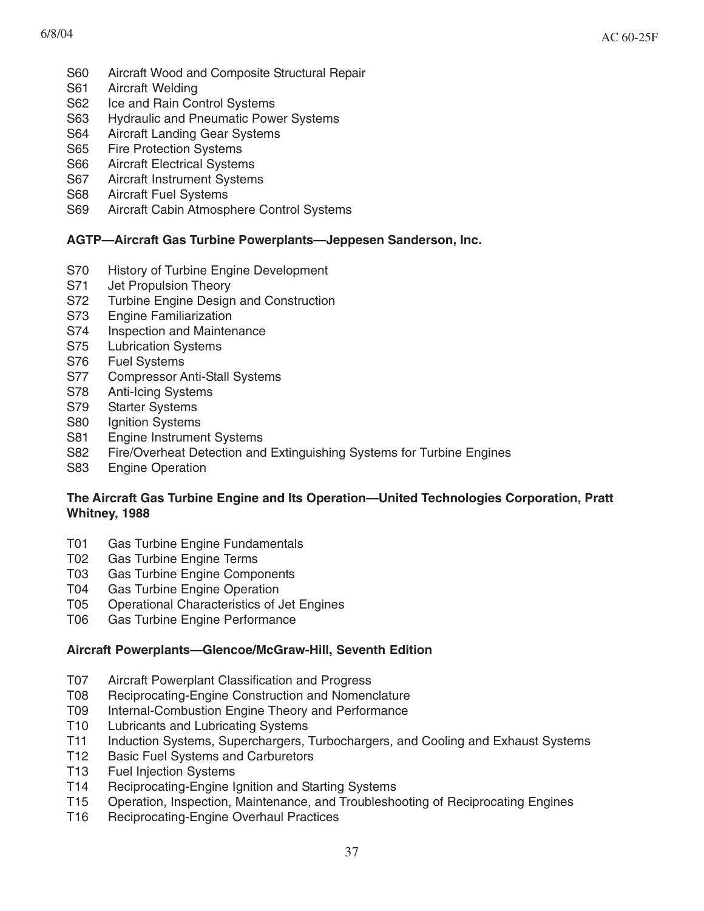- S60 Aircraft Wood and Composite Structural Repair
- S61 Aircraft Welding
- S62 Ice and Rain Control Systems
- S63 Hydraulic and Pneumatic Power Systems
- S64 Aircraft Landing Gear Systems
- S65 Fire Protection Systems
- S66 Aircraft Electrical Systems
- S67 Aircraft Instrument Systems
- S68 Aircraft Fuel Systems
- S69 Aircraft Cabin Atmosphere Control Systems

## **AGTP—Aircraft Gas Turbine Powerplants—Jeppesen Sanderson, Inc.**

- S70 History of Turbine Engine Development
- S71 Jet Propulsion Theory
- S72 Turbine Engine Design and Construction
- S73 Engine Familiarization
- S74 Inspection and Maintenance
- S75 Lubrication Systems
- S76 Fuel Systems
- S77 Compressor Anti-Stall Systems
- S78 Anti-Icing Systems
- S79 Starter Systems
- S80 Ignition Systems
- S81 Engine Instrument Systems
- S82 Fire/Overheat Detection and Extinguishing Systems for Turbine Engines
- S83 Engine Operation

## **The Aircraft Gas Turbine Engine and Its Operation—United Technologies Corporation, Pratt Whitney, 1988**

- T01 Gas Turbine Engine Fundamentals
- T02 Gas Turbine Engine Terms
- T03 Gas Turbine Engine Components
- T04 Gas Turbine Engine Operation
- T05 Operational Characteristics of Jet Engines
- T06 Gas Turbine Engine Performance

## **Aircraft Powerplants—Glencoe/McGraw-Hill, Seventh Edition**

- T07 Aircraft Powerplant Classification and Progress
- T08 Reciprocating-Engine Construction and Nomenclature
- T09 Internal-Combustion Engine Theory and Performance
- T10 Lubricants and Lubricating Systems
- $T11$ Induction Systems, Superchargers, Turbochargers, and Cooling and Exhaust Systems
- $T12$ Basic Fuel Systems and Carburetors
- T<sub>13</sub> **Fuel Injection Systems**
- T<sub>14</sub> Reciprocating-Engine Ignition and Starting Systems
- T<sub>15</sub> Operation, Inspection, Maintenance, and Troubleshooting of Reciprocating Engines
- T<sub>16</sub> Reciprocating-Engine Overhaul Practices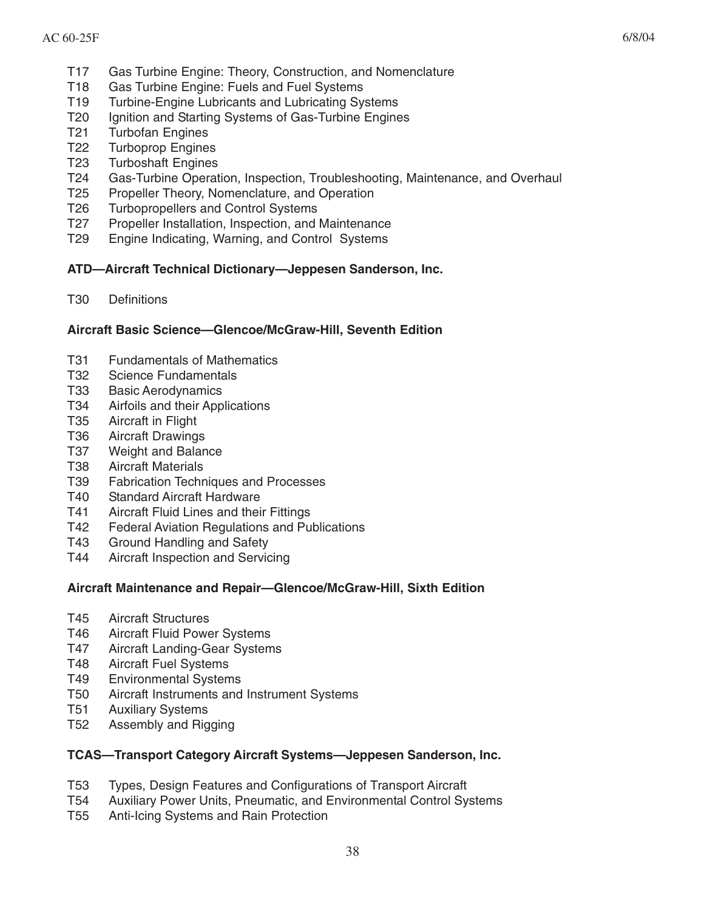- T17 Gas Turbine Engine: Theory, Construction, and Nomenclature
- T18 Gas Turbine Engine: Fuels and Fuel Systems
- T19 Turbine-Engine Lubricants and Lubricating Systems
- T20 Ignition and Starting Systems of Gas-Turbine Engines
- T21 Turbofan Engines<br>T22 Turboprop Engines
- **Turboprop Engines**
- T23 Turboshaft Engines
- T24 Gas-Turbine Operation, Inspection, Troubleshooting, Maintenance, and Overhaul
- T25 Propeller Theory, Nomenclature, and Operation
- T26 Turbopropellers and Control Systems
- T27 Propeller Installation, Inspection, and Maintenance
- T29 Engine Indicating, Warning, and Control Systems

## **ATD—Aircraft Technical Dictionary—Jeppesen Sanderson, Inc.**

T30 Definitions

## **Aircraft Basic Science—Glencoe/McGraw-Hill, Seventh Edition**

- T31 Fundamentals of Mathematics
- T32 Science Fundamentals
- T33 Basic Aerodynamics
- T34 Airfoils and their Applications
- T35 Aircraft in Flight
- T36 Aircraft Drawings
- T37 Weight and Balance
- T38 Aircraft Materials
- T39 Fabrication Techniques and Processes
- T40 Standard Aircraft Hardware
- T41 Aircraft Fluid Lines and their Fittings
- T42 Federal Aviation Regulations and Publications
- T43 Ground Handling and Safety
- T44 Aircraft Inspection and Servicing

## **Aircraft Maintenance and Repair—Glencoe/McGraw-Hill, Sixth Edition**

- T45 Aircraft Structures
- T46 Aircraft Fluid Power Systems
- T47 Aircraft Landing-Gear Systems
- T48 Aircraft Fuel Systems
- T49 Environmental Systems
- T50 Aircraft Instruments and Instrument Systems
- T51 Auxiliary Systems
- T52 Assembly and Rigging

## **TCAS—Transport Category Aircraft Systems—Jeppesen Sanderson, Inc.**

- T53 Types, Design Features and Configurations of Transport Aircraft
- T54 Auxiliary Power Units, Pneumatic, and Environmental Control Systems
- T55 Anti-Icing Systems and Rain Protection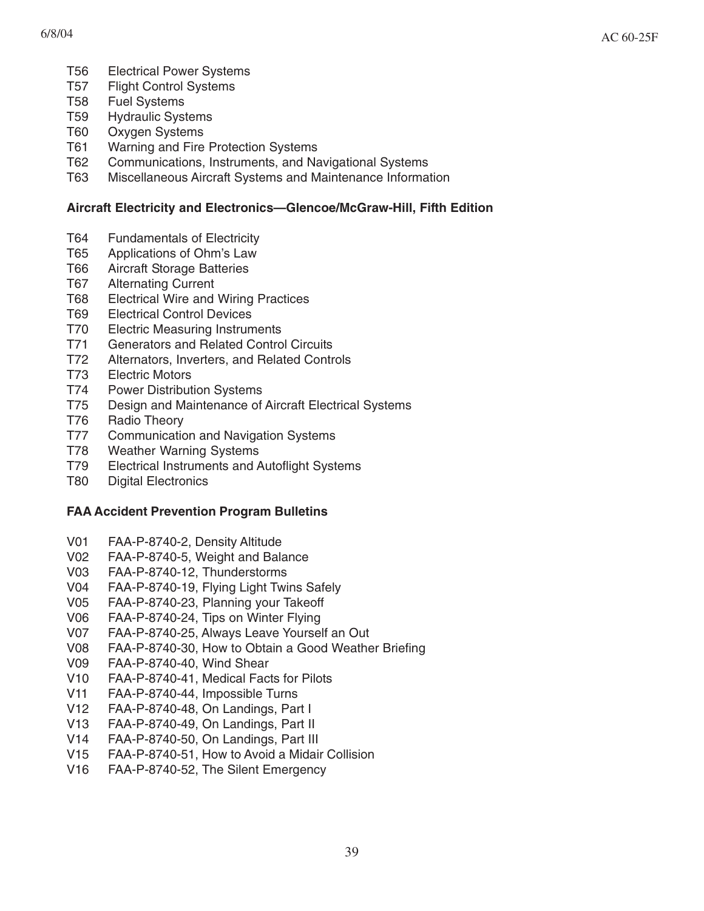- T56 Electrical Power Systems
- T57 Flight Control Systems
- T58 Fuel Systems
- T59 Hydraulic Systems
- T60 Oxygen Systems
- T61 Warning and Fire Protection Systems
- T62 Communications, Instruments, and Navigational Systems
- T63 Miscellaneous Aircraft Systems and Maintenance Information

## **Aircraft Electricity and Electronics—Glencoe/McGraw-Hill, Fifth Edition**

- T64 Fundamentals of Electricity
- T65 Applications of Ohm's Law
- T66 Aircraft Storage Batteries
- T67 Alternating Current
- T68 Electrical Wire and Wiring Practices
- T69 Electrical Control Devices
- T70 Electric Measuring Instruments
- T71 Generators and Related Control Circuits
- T72 Alternators, Inverters, and Related Controls
- T73 Electric Motors
- T74 Power Distribution Systems
- T75 Design and Maintenance of Aircraft Electrical Systems
- T76 Radio Theory
- T77 Communication and Navigation Systems
- T78 Weather Warning Systems
- T79 Electrical Instruments and Autoflight Systems
- T80 Digital Electronics

## **FAA Accident Prevention Program Bulletins**

- V01 FAA-P-8740-2, Density Altitude
- V02 FAA-P-8740-5, Weight and Balance
- V03 FAA-P-8740-12, Thunderstorms
- V04 FAA-P-8740-19, Flying Light Twins Safely
- V05 FAA-P-8740-23, Planning your Takeoff
- V06 FAA-P-8740-24, Tips on Winter Flying
- V07 FAA-P-8740-25, Always Leave Yourself an Out
- V08 FAA-P-8740-30, How to Obtain a Good Weather Briefing
- V09 FAA-P-8740-40, Wind Shear
- V10 FAA-P-8740-41, Medical Facts for Pilots
- V11 FAA-P-8740-44, Impossible Turns<br>V12 FAA-P-8740-48. On Landings, Par
- FAA-P-8740-48, On Landings, Part I
- V13 FAA-P-8740-49, On Landings, Part II
- V14 FAA-P-8740-50, On Landings, Part III<br>V15 FAA-P-8740-51. How to Avoid a Midai
- FAA-P-8740-51, How to Avoid a Midair Collision
- V16 FAA-P-8740-52, The Silent Emergency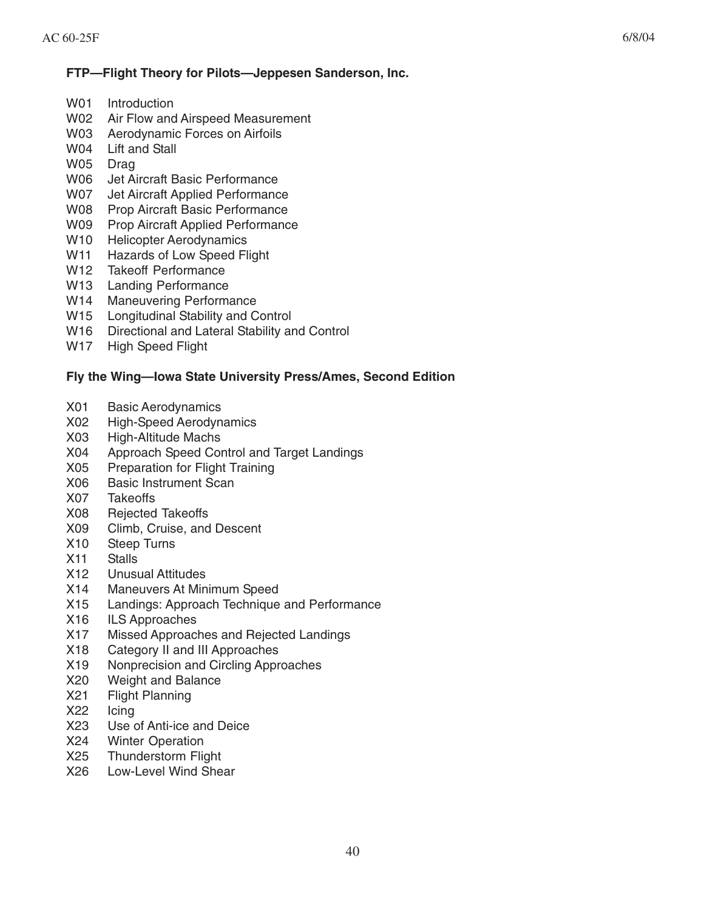- W01 Introduction
- W02 Air Flow and Airspeed Measurement
- W03 Aerodynamic Forces on Airfoils
- W04 Lift and Stall
- W05 Drag
- W06 Jet Aircraft Basic Performance
- W07 Jet Aircraft Applied Performance
- W08 Prop Aircraft Basic Performance
- W09 Prop Aircraft Applied Performance
- W10 Helicopter Aerodynamics
- W11 Hazards of Low Speed Flight
- W12 Takeoff Performance
- W13 Landing Performance
- W14 Maneuvering Performance
- W15 Longitudinal Stability and Control
- W16 Directional and Lateral Stability and Control
- W<sub>17</sub> High Speed Flight

## **Fly the Wing—Iowa State University Press/Ames, Second Edition**

- X01 Basic Aerodynamics
- X02 High-Speed Aerodynamics
- X03 High-Altitude Machs
- X04 Approach Speed Control and Target Landings
- X05 Preparation for Flight Training
- X06 Basic Instrument Scan
- X07 Takeoffs
- X08 Rejected Takeoffs
- X09 Climb, Cruise, and Descent
- X10 Steep Turns
- X11 Stalls
- X12 Unusual Attitudes
- X14 Maneuvers At Minimum Speed
- X15 Landings: Approach Technique and Performance
- X16 ILS Approaches
- X17 Missed Approaches and Rejected Landings
- X18 Category II and III Approaches
- X19 Nonprecision and Circling Approaches
- X20 Weight and Balance
- X21 Flight Planning
- X22 Icing
- X23 Use of Anti-ice and Deice
- X24 Winter Operation
- X25 Thunderstorm Flight
- X26 Low-Level Wind Shear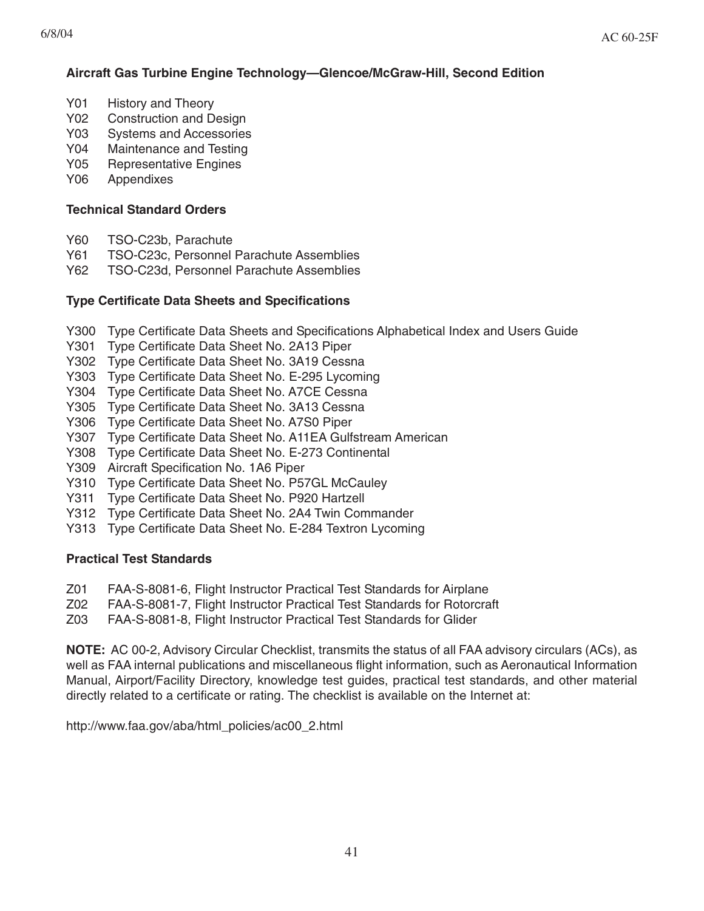## **Aircraft Gas Turbine Engine Technology—Glencoe/McGraw-Hill, Second Edition**

- Y01 History and Theory
- Y02 Construction and Design
- Y03 Systems and Accessories
- Y04 Maintenance and Testing
- Y05 Representative Engines
- Y06 Appendixes

## **Technical Standard Orders**

- Y60 TSO-C23b, Parachute
- Y61 TSO-C23c, Personnel Parachute Assemblies
- Y62 TSO-C23d, Personnel Parachute Assemblies

## **Type Certificate Data Sheets and Specifications**

- Y300 Type Certificate Data Sheets and Specifications Alphabetical Index and Users Guide
- Y301 Type Certificate Data Sheet No. 2A13 Piper
- Y302 Type Certificate Data Sheet No. 3A19 Cessna
- Y303 Type Certificate Data Sheet No. E-295 Lycoming
- Y304 Type Certificate Data Sheet No. A7CE Cessna
- Y305 Type Certificate Data Sheet No. 3A13 Cessna
- Y306 Type Certificate Data Sheet No. A7S0 Piper
- Y307 Type Certificate Data Sheet No. A11EA Gulfstream American
- Y308 Type Certificate Data Sheet No. E-273 Continental
- Y309 Aircraft Specification No. 1A6 Piper
- Y310 Type Certificate Data Sheet No. P57GL McCauley
- Y311 Type Certificate Data Sheet No. P920 Hartzell
- Y312 Type Certificate Data Sheet No. 2A4 Twin Commander
- Y313 Type Certificate Data Sheet No. E-284 Textron Lycoming

## **Practical Test Standards**

- Z01 FAA-S-8081-6, Flight Instructor Practical Test Standards for Airplane
- Z02 FAA-S-8081-7, Flight Instructor Practical Test Standards for Rotorcraft
- Z03 FAA-S-8081-8, Flight Instructor Practical Test Standards for Glider

**NOTE:** AC 00-2, Advisory Circular Checklist, transmits the status of all FAA advisory circulars (ACs), as well as FAA internal publications and miscellaneous flight information, such as Aeronautical Information Manual, Airport/Facility Directory, knowledge test guides, practical test standards, and other material directly related to a certificate or rating. The checklist is available on the Internet at:

http://www.faa.gov/aba/html\_policies/ac00\_2.html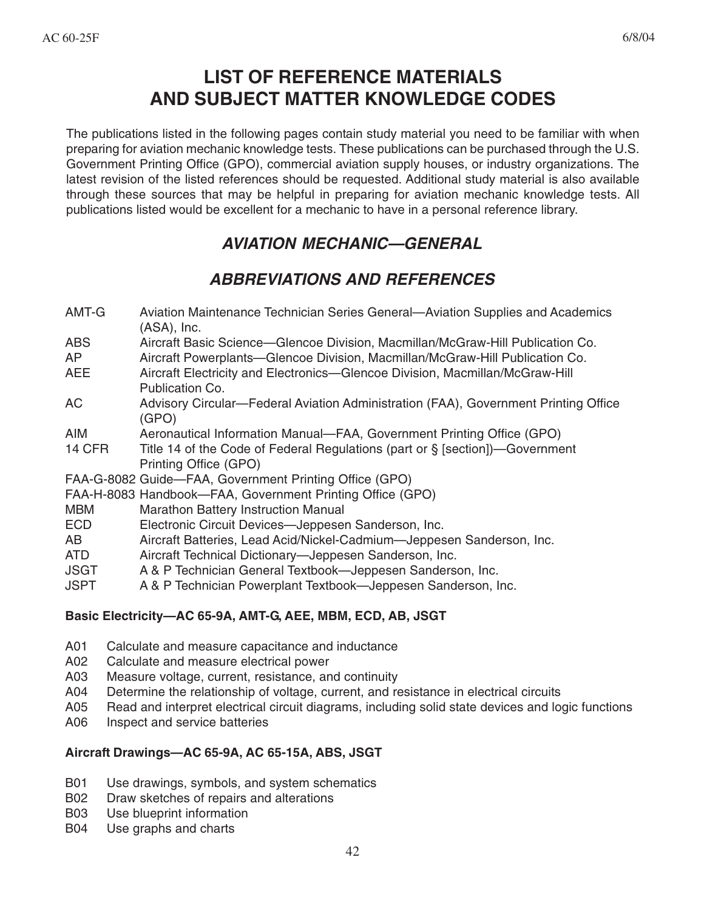# **LIST OF REFERENCE MATERIALS AND SUBJECT MATTER KNOWLEDGE CODES**

The publications listed in the following pages contain study material you need to be familiar with when preparing for aviation mechanic knowledge tests. These publications can be purchased through the U.S. Government Printing Office (GPO), commercial aviation supply houses, or industry organizations. The latest revision of the listed references should be requested. Additional study material is also available through these sources that may be helpful in preparing for aviation mechanic knowledge tests. All publications listed would be excellent for a mechanic to have in a personal reference library.

# **AVIATION MECHANIC—GENERAL**

# **ABBREVIATIONS AND REFERENCES**

- AMT-G Aviation Maintenance Technician Series General—Aviation Supplies and Academics (ASA), Inc.
- ABS Aircraft Basic Science—Glencoe Division, Macmillan/McGraw-Hill Publication Co.
- AP Aircraft Powerplants—Glencoe Division, Macmillan/McGraw-Hill Publication Co. AEE Aircraft Electricity and Electronics—Glencoe Division, Macmillan/McGraw-Hill
	- Publication Co.
- AC Advisory Circular—Federal Aviation Administration (FAA), Government Printing Office (GPO)
- AIM Aeronautical Information Manual—FAA, Government Printing Office (GPO)
- 14 CFR Title 14 of the Code of Federal Regulations (part or § [section])—Government Printing Office (GPO)
- FAA-G-8082 Guide—FAA, Government Printing Office (GPO)
- FAA-H-8083 Handbook—FAA, Government Printing Office (GPO)
- MBM Marathon Battery Instruction Manual
- ECD Electronic Circuit Devices—Jeppesen Sanderson, Inc.
- AB Aircraft Batteries, Lead Acid/Nickel-Cadmium—Jeppesen Sanderson, Inc.
- ATD Aircraft Technical Dictionary—Jeppesen Sanderson, Inc.
- JSGT A & P Technician General Textbook—Jeppesen Sanderson, Inc.
- JSPT A & P Technician Powerplant Textbook—Jeppesen Sanderson, Inc.

## **Basic Electricity—AC 65-9A, AMT-G, AEE, MBM, ECD, AB, JSGT**

- A01 Calculate and measure capacitance and inductance
- A02 Calculate and measure electrical power
- A03 Measure voltage, current, resistance, and continuity
- A04 Determine the relationship of voltage, current, and resistance in electrical circuits
- A05 Read and interpret electrical circuit diagrams, including solid state devices and logic functions
- A06 Inspect and service batteries

## **Aircraft Drawings—AC 65-9A, AC 65-15A, ABS, JSGT**

- B01 Use drawings, symbols, and system schematics
- B02 Draw sketches of repairs and alterations
- B03 Use blueprint information
- B04 Use graphs and charts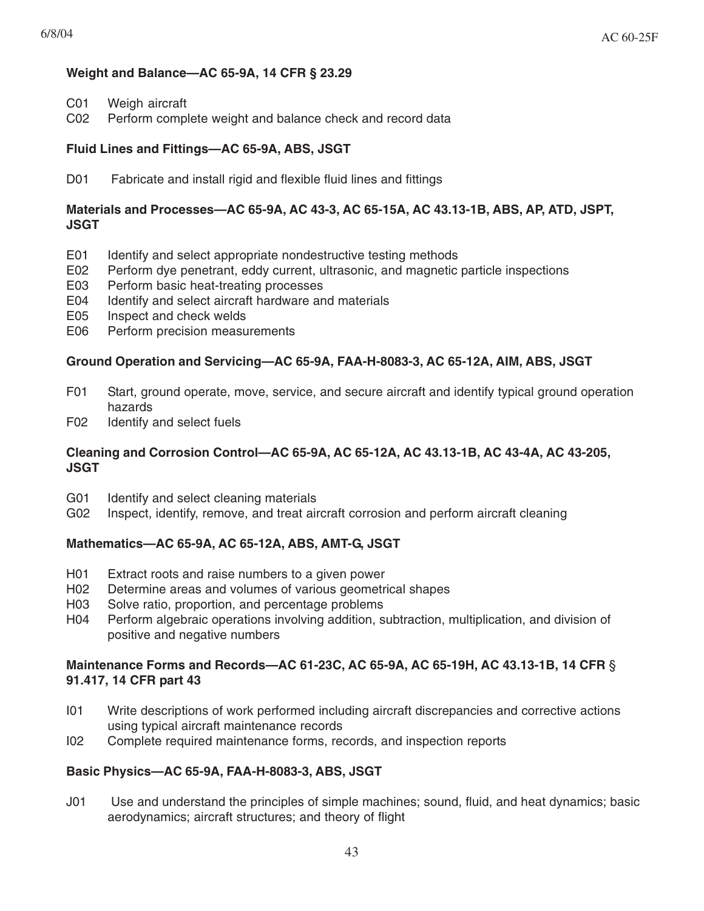## **Weight and Balance—AC 65-9A, 14 CFR § 23.29**

- C01 Weigh aircraft
- C02 Perform complete weight and balance check and record data

## **Fluid Lines and Fittings—AC 65-9A, ABS, JSGT**

D01 Fabricate and install rigid and flexible fluid lines and fittings

#### **Materials and Processes—AC 65-9A, AC 43-3, AC 65-15A, AC 43.13-1B, ABS, AP, ATD, JSPT, JSGT**

- E01 Identify and select appropriate nondestructive testing methods
- E02 Perform dye penetrant, eddy current, ultrasonic, and magnetic particle inspections
- E03 Perform basic heat-treating processes
- E04 Identify and select aircraft hardware and materials
- E05 Inspect and check welds
- E06 Perform precision measurements

## **Ground Operation and Servicing—AC 65-9A, FAA-H-8083-3, AC 65-12A, AIM, ABS, JSGT**

- F01 Start, ground operate, move, service, and secure aircraft and identify typical ground operation hazards
- F02 Identify and select fuels

## **Cleaning and Corrosion Control—AC 65-9A, AC 65-12A, AC 43.13-1B, AC 43-4A, AC 43-205, JSGT**

- G01 Identify and select cleaning materials
- G02 Inspect, identify, remove, and treat aircraft corrosion and perform aircraft cleaning

## **Mathematics—AC 65-9A, AC 65-12A, ABS, AMT-G, JSGT**

- H01 Extract roots and raise numbers to a given power
- H02 Determine areas and volumes of various geometrical shapes
- H03 Solve ratio, proportion, and percentage problems
- H04 Perform algebraic operations involving addition, subtraction, multiplication, and division of positive and negative numbers

#### **Maintenance Forms and Records—AC 61-23C, AC 65-9A, AC 65-19H, AC 43.13-1B, 14 CFR** § **91.417, 14 CFR part 43**

- I01 Write descriptions of work performed including aircraft discrepancies and corrective actions using typical aircraft maintenance records
- I02 Complete required maintenance forms, records, and inspection reports

## **Basic Physics—AC 65-9A, FAA-H-8083-3, ABS, JSGT**

J01 Use and understand the principles of simple machines; sound, fluid, and heat dynamics; basic aerodynamics; aircraft structures; and theory of flight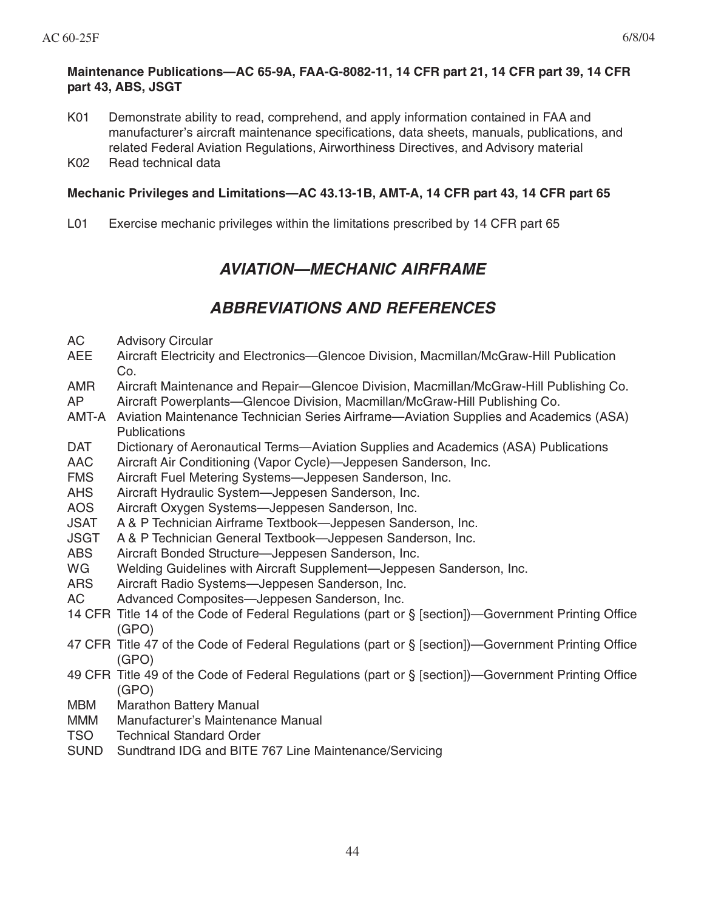## **Maintenance Publications—AC 65-9A, FAA-G-8082-11, 14 CFR part 21, 14 CFR part 39, 14 CFR part 43, ABS, JSGT**

- K01 Demonstrate ability to read, comprehend, and apply information contained in FAA and manufacturer's aircraft maintenance specifications, data sheets, manuals, publications, and related Federal Aviation Regulations, Airworthiness Directives, and Advisory material
- K02 Read technical data

## **Mechanic Privileges and Limitations—AC 43.13-1B, AMT-A, 14 CFR part 43, 14 CFR part 65**

L01 Exercise mechanic privileges within the limitations prescribed by 14 CFR part 65

# **AVIATION—MECHANIC AIRFRAME**

## **ABBREVIATIONS AND REFERENCES**

- AC Advisory Circular
- AEE Aircraft Electricity and Electronics—Glencoe Division, Macmillan/McGraw-Hill Publication Co.
- AMR Aircraft Maintenance and Repair—Glencoe Division, Macmillan/McGraw-Hill Publishing Co.
- AP Aircraft Powerplants—Glencoe Division, Macmillan/McGraw-Hill Publishing Co.
- AMT-A Aviation Maintenance Technician Series Airframe—Aviation Supplies and Academics (ASA) **Publications**
- DAT Dictionary of Aeronautical Terms—Aviation Supplies and Academics (ASA) Publications
- AAC Aircraft Air Conditioning (Vapor Cycle)—Jeppesen Sanderson, Inc.
- FMS Aircraft Fuel Metering Systems—Jeppesen Sanderson, Inc.
- AHS Aircraft Hydraulic System—Jeppesen Sanderson, Inc.
- AOS Aircraft Oxygen Systems—Jeppesen Sanderson, Inc.
- JSAT A & P Technician Airframe Textbook—Jeppesen Sanderson, Inc.
- JSGT A & P Technician General Textbook—Jeppesen Sanderson, Inc.
- ABS Aircraft Bonded Structure—Jeppesen Sanderson, Inc.
- WG Welding Guidelines with Aircraft Supplement—Jeppesen Sanderson, Inc.
- ARS Aircraft Radio Systems—Jeppesen Sanderson, Inc.
- AC Advanced Composites—Jeppesen Sanderson, Inc.
- 14 CFR Title 14 of the Code of Federal Regulations (part or § [section])—Government Printing Office (GPO)
- 47 CFR Title 47 of the Code of Federal Regulations (part or § [section])—Government Printing Office (GPO)
- 49 CFR Title 49 of the Code of Federal Regulations (part or § [section])—Government Printing Office (GPO)
- MBM Marathon Battery Manual
- MMM Manufacturer's Maintenance Manual
- TSO Technical Standard Order
- SUND Sundtrand IDG and BITE 767 Line Maintenance/Servicing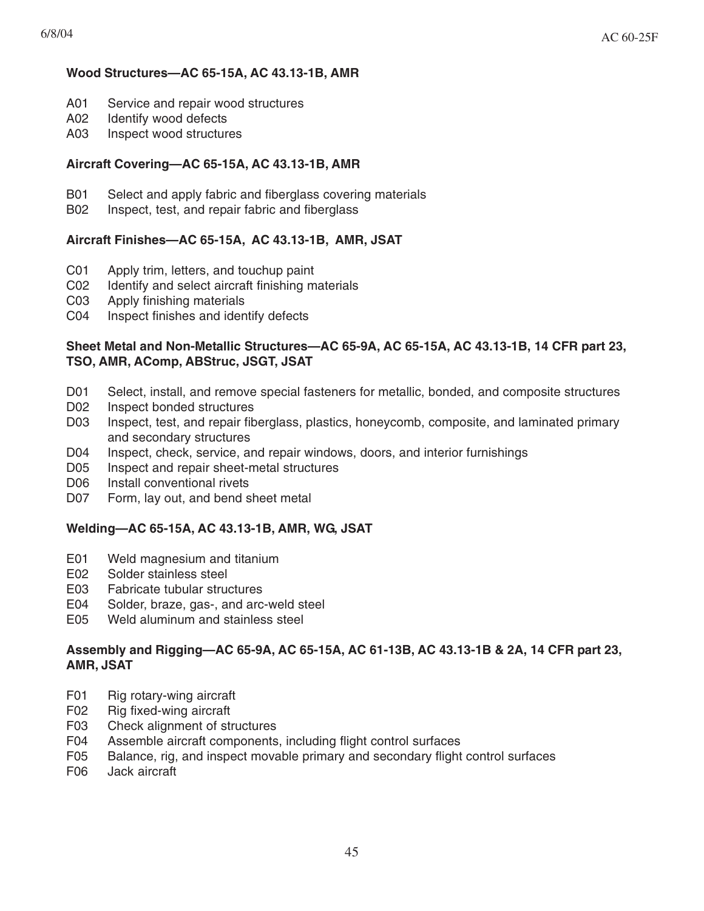## **Wood Structures—AC 65-15A, AC 43.13-1B, AMR**

- A01 Service and repair wood structures
- A02 Identify wood defects
- A03 Inspect wood structures

## **Aircraft Covering—AC 65-15A, AC 43.13-1B, AMR**

- B01 Select and apply fabric and fiberglass covering materials
- B02 Inspect, test, and repair fabric and fiberglass

## **Aircraft Finishes—AC 65-15A, AC 43.13-1B, AMR, JSAT**

- C01 Apply trim, letters, and touchup paint
- C02 Identify and select aircraft finishing materials
- C03 Apply finishing materials
- C04 Inspect finishes and identify defects

#### **Sheet Metal and Non-Metallic Structures—AC 65-9A, AC 65-15A, AC 43.13-1B, 14 CFR part 23, TSO, AMR, AComp, ABStruc, JSGT, JSAT**

- D01 Select, install, and remove special fasteners for metallic, bonded, and composite structures
- D02 Inspect bonded structures
- D03 Inspect, test, and repair fiberglass, plastics, honeycomb, composite, and laminated primary and secondary structures
- D04 Inspect, check, service, and repair windows, doors, and interior furnishings
- D05 Inspect and repair sheet-metal structures
- D06 Install conventional rivets
- D07 Form, lay out, and bend sheet metal

## **Welding—AC 65-15A, AC 43.13-1B, AMR, WG, JSAT**

- E01 Weld magnesium and titanium
- E02 Solder stainless steel
- E03 Fabricate tubular structures
- E04 Solder, braze, gas-, and arc-weld steel
- E05 Weld aluminum and stainless steel

## **Assembly and Rigging—AC 65-9A, AC 65-15A, AC 61-13B, AC 43.13-1B & 2A, 14 CFR part 23, AMR, JSAT**

- F01 Rig rotary-wing aircraft
- F02 Rig fixed-wing aircraft
- F03 Check alignment of structures
- F04 Assemble aircraft components, including flight control surfaces
- F05 Balance, rig, and inspect movable primary and secondary flight control surfaces
- F06 Jack aircraft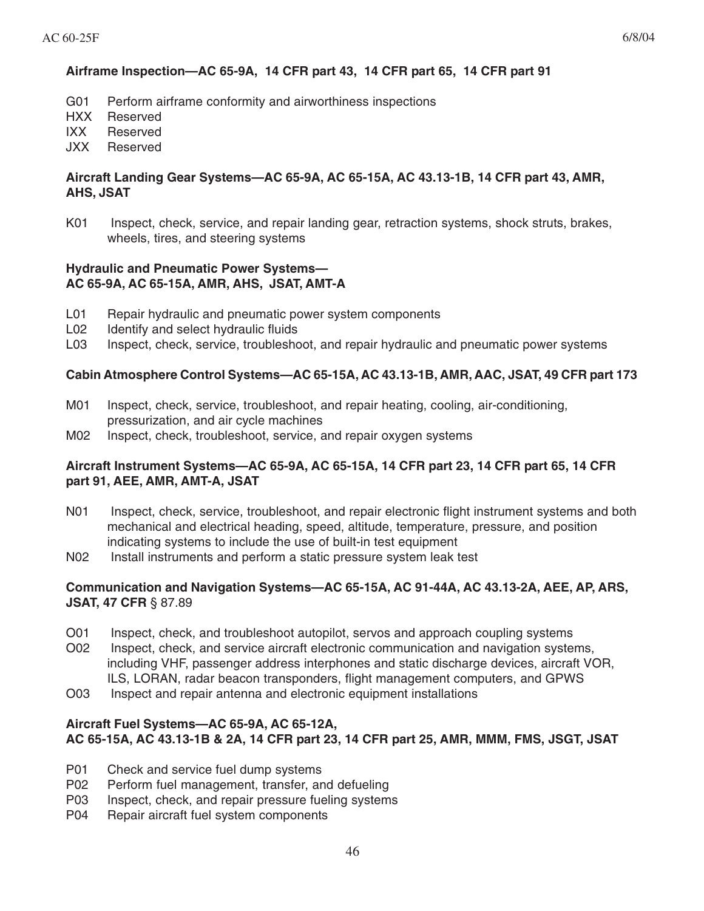## **Airframe Inspection—AC 65-9A, 14 CFR part 43, 14 CFR part 65, 14 CFR part 91**

- G01 Perform airframe conformity and airworthiness inspections
- HXX Reserved
- IXX Reserved
- JXX Reserved

#### **Aircraft Landing Gear Systems—AC 65-9A, AC 65-15A, AC 43.13-1B, 14 CFR part 43, AMR, AHS, JSAT**

K01 Inspect, check, service, and repair landing gear, retraction systems, shock struts, brakes, wheels, tires, and steering systems

## **Hydraulic and Pneumatic Power Systems— AC 65-9A, AC 65-15A, AMR, AHS, JSAT, AMT-A**

- L01 Repair hydraulic and pneumatic power system components
- L02 Identify and select hydraulic fluids
- L03 Inspect, check, service, troubleshoot, and repair hydraulic and pneumatic power systems

#### **Cabin Atmosphere Control Systems—AC 65-15A, AC 43.13-1B, AMR, AAC, JSAT, 49 CFR part 173**

- M01 Inspect, check, service, troubleshoot, and repair heating, cooling, air-conditioning, pressurization, and air cycle machines
- M02 Inspect, check, troubleshoot, service, and repair oxygen systems

## **Aircraft Instrument Systems—AC 65-9A, AC 65-15A, 14 CFR part 23, 14 CFR part 65, 14 CFR part 91, AEE, AMR, AMT-A, JSAT**

- N01 Inspect, check, service, troubleshoot, and repair electronic flight instrument systems and both mechanical and electrical heading, speed, altitude, temperature, pressure, and position indicating systems to include the use of built-in test equipment
- N02 Install instruments and perform a static pressure system leak test

## **Communication and Navigation Systems—AC 65-15A, AC 91-44A, AC 43.13-2A, AEE, AP, ARS, JSAT, 47 CFR** § 87.89

- O01 Inspect, check, and troubleshoot autopilot, servos and approach coupling systems
- O02 Inspect, check, and service aircraft electronic communication and navigation systems, including VHF, passenger address interphones and static discharge devices, aircraft VOR, ILS, LORAN, radar beacon transponders, flight management computers, and GPWS
- O03 Inspect and repair antenna and electronic equipment installations

## **Aircraft Fuel Systems—AC 65-9A, AC 65-12A, AC 65-15A, AC 43.13-1B & 2A, 14 CFR part 23, 14 CFR part 25, AMR, MMM, FMS, JSGT, JSAT**

- P01 Check and service fuel dump systems
- P02 Perform fuel management, transfer, and defueling
- P03 Inspect, check, and repair pressure fueling systems
- P04 Repair aircraft fuel system components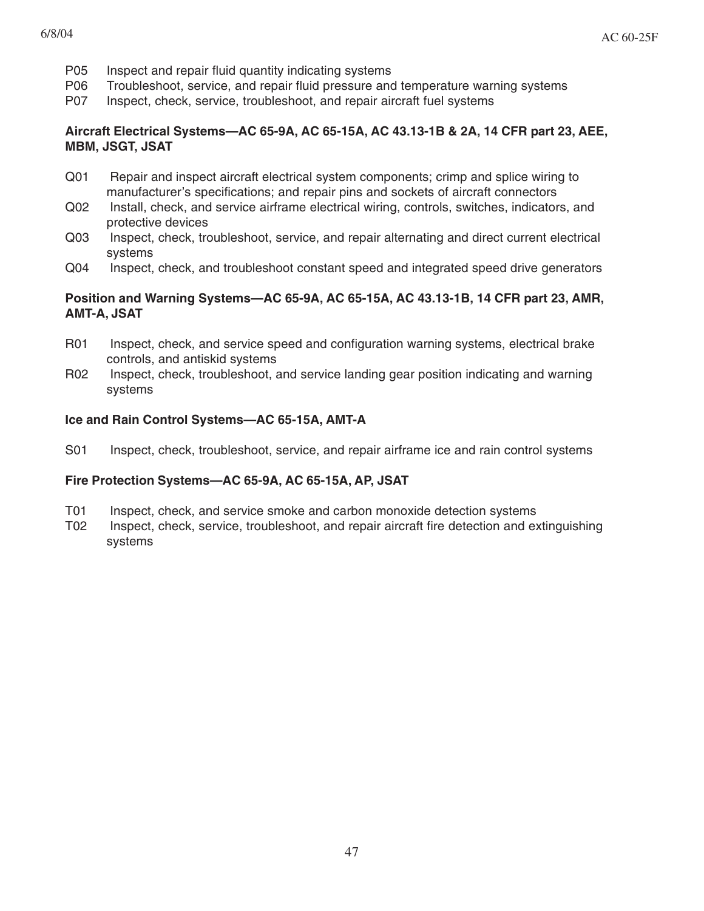- P05 Inspect and repair fluid quantity indicating systems
- P06 Troubleshoot, service, and repair fluid pressure and temperature warning systems
- P07 Inspect, check, service, troubleshoot, and repair aircraft fuel systems

## **Aircraft Electrical Systems—AC 65-9A, AC 65-15A, AC 43.13-1B & 2A, 14 CFR part 23, AEE, MBM, JSGT, JSAT**

- Q01 Repair and inspect aircraft electrical system components; crimp and splice wiring to manufacturer's specifications; and repair pins and sockets of aircraft connectors
- Q02 Install, check, and service airframe electrical wiring, controls, switches, indicators, and protective devices
- Q03 Inspect, check, troubleshoot, service, and repair alternating and direct current electrical systems
- Q04 Inspect, check, and troubleshoot constant speed and integrated speed drive generators

## **Position and Warning Systems—AC 65-9A, AC 65-15A, AC 43.13-1B, 14 CFR part 23, AMR, AMT-A, JSAT**

- R01 Inspect, check, and service speed and configuration warning systems, electrical brake controls, and antiskid systems
- R02 Inspect, check, troubleshoot, and service landing gear position indicating and warning systems

## **Ice and Rain Control Systems—AC 65-15A, AMT-A**

S01 Inspect, check, troubleshoot, service, and repair airframe ice and rain control systems

## **Fire Protection Systems—AC 65-9A, AC 65-15A, AP, JSAT**

- T01 Inspect, check, and service smoke and carbon monoxide detection systems
- T02 Inspect, check, service, troubleshoot, and repair aircraft fire detection and extinguishing systems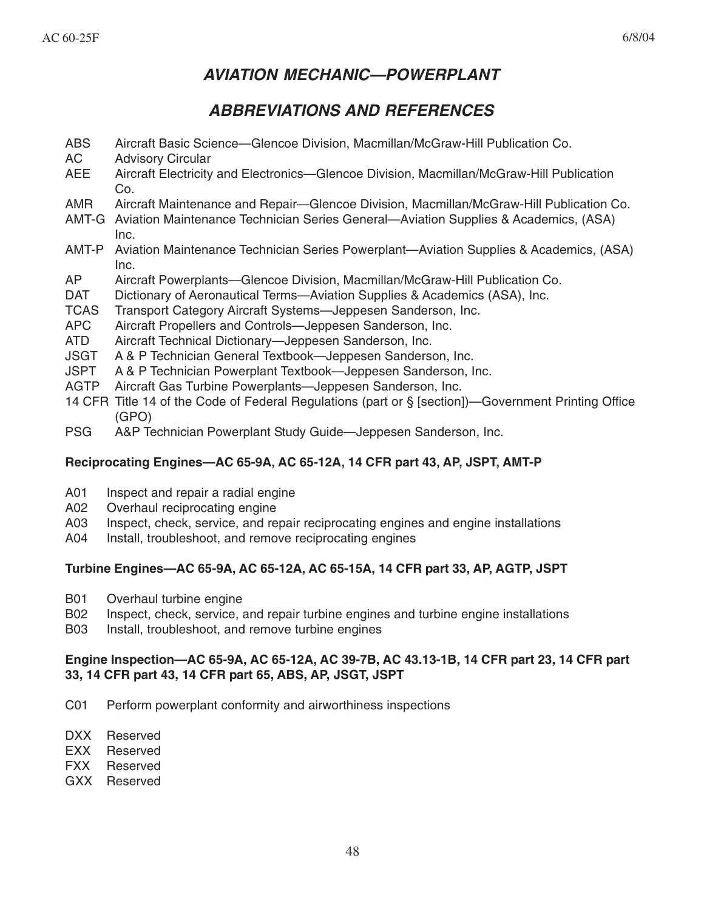# **AVIATION MECHANIC—POWERPLANT**

# **ABBREVIATIONS AND REFERENCES**

- ABS Aircraft Basic Science—Glencoe Division, Macmillan/McGraw-Hill Publication Co.
- AC Advisory Circular
- AEE Aircraft Electricity and Electronics—Glencoe Division, Macmillan/McGraw-Hill Publication Co.
- AMR Aircraft Maintenance and Repair—Glencoe Division, Macmillan/McGraw-Hill Publication Co.
- AMT-G Aviation Maintenance Technician Series General—Aviation Supplies & Academics, (ASA) Inc.
- AMT-P Aviation Maintenance Technician Series Powerplant—Aviation Supplies & Academics, (ASA) Inc.
- AP Aircraft Powerplants—Glencoe Division, Macmillan/McGraw-Hill Publication Co.
- DAT Dictionary of Aeronautical Terms—Aviation Supplies & Academics (ASA), Inc.
- TCAS Transport Category Aircraft Systems—Jeppesen Sanderson, Inc.
- APC Aircraft Propellers and Controls—Jeppesen Sanderson, Inc.
- ATD Aircraft Technical Dictionary—Jeppesen Sanderson, Inc.
- JSGT A & P Technician General Textbook—Jeppesen Sanderson, Inc.
- JSPT A & P Technician Powerplant Textbook—Jeppesen Sanderson, Inc.
- AGTP Aircraft Gas Turbine Powerplants—Jeppesen Sanderson, Inc.
- 14 CFR Title 14 of the Code of Federal Regulations (part or § [section])—Government Printing Office (GPO)
- PSG A&P Technician Powerplant Study Guide—Jeppesen Sanderson, Inc.

## **Reciprocating Engines—AC 65-9A, AC 65-12A, 14 CFR part 43, AP, JSPT, AMT-P**

- A01 Inspect and repair a radial engine
- A02 Overhaul reciprocating engine
- A03 Inspect, check, service, and repair reciprocating engines and engine installations
- A04 Install, troubleshoot, and remove reciprocating engines

## **Turbine Engines—AC 65-9A, AC 65-12A, AC 65-15A, 14 CFR part 33, AP, AGTP, JSPT**

- B01 Overhaul turbine engine
- B02 Inspect, check, service, and repair turbine engines and turbine engine installations
- B03 Install, troubleshoot, and remove turbine engines

## **Engine Inspection—AC 65-9A, AC 65-12A, AC 39-7B, AC 43.13-1B, 14 CFR part 23, 14 CFR part 33, 14 CFR part 43, 14 CFR part 65, ABS, AP, JSGT, JSPT**

- C01 Perform powerplant conformity and airworthiness inspections
- DXX Reserved
- EXX Reserved
- FXX Reserved
- GXX Reserved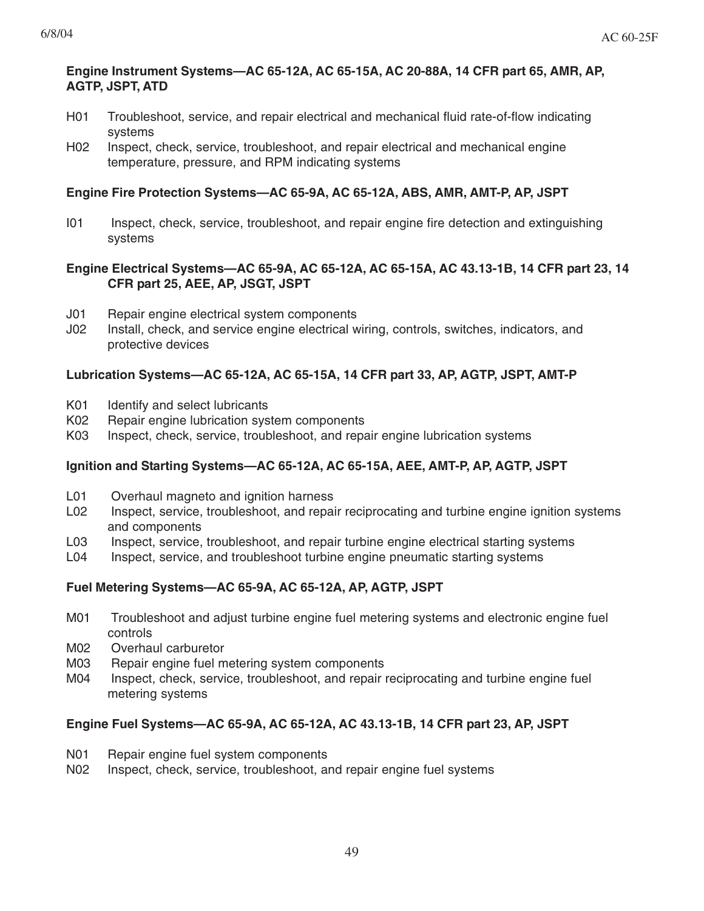## **Engine Instrument Systems—AC 65-12A, AC 65-15A, AC 20-88A, 14 CFR part 65, AMR, AP, AGTP, JSPT, ATD**

- H01 Troubleshoot, service, and repair electrical and mechanical fluid rate-of-flow indicating systems
- H02 Inspect, check, service, troubleshoot, and repair electrical and mechanical engine temperature, pressure, and RPM indicating systems

## **Engine Fire Protection Systems—AC 65-9A, AC 65-12A, ABS, AMR, AMT-P, AP, JSPT**

I01 Inspect, check, service, troubleshoot, and repair engine fire detection and extinguishing systems

## **Engine Electrical Systems—AC 65-9A, AC 65-12A, AC 65-15A, AC 43.13-1B, 14 CFR part 23, 14 CFR part 25, AEE, AP, JSGT, JSPT**

- J01 Repair engine electrical system components
- J02 Install, check, and service engine electrical wiring, controls, switches, indicators, and protective devices

## **Lubrication Systems—AC 65-12A, AC 65-15A, 14 CFR part 33, AP, AGTP, JSPT, AMT-P**

- K01 Identify and select lubricants
- K02 Repair engine lubrication system components
- K03 Inspect, check, service, troubleshoot, and repair engine lubrication systems

## **Ignition and Starting Systems—AC 65-12A, AC 65-15A, AEE, AMT-P, AP, AGTP, JSPT**

- L01 Overhaul magneto and ignition harness
- L02 Inspect, service, troubleshoot, and repair reciprocating and turbine engine ignition systems and components
- L03 Inspect, service, troubleshoot, and repair turbine engine electrical starting systems
- L04 Inspect, service, and troubleshoot turbine engine pneumatic starting systems

## **Fuel Metering Systems—AC 65-9A, AC 65-12A, AP, AGTP, JSPT**

- M01 Troubleshoot and adjust turbine engine fuel metering systems and electronic engine fuel controls
- M02 Overhaul carburetor
- M03 Repair engine fuel metering system components
- M04 Inspect, check, service, troubleshoot, and repair reciprocating and turbine engine fuel metering systems

## **Engine Fuel Systems—AC 65-9A, AC 65-12A, AC 43.13-1B, 14 CFR part 23, AP, JSPT**

- N01 Repair engine fuel system components
- N02 Inspect, check, service, troubleshoot, and repair engine fuel systems